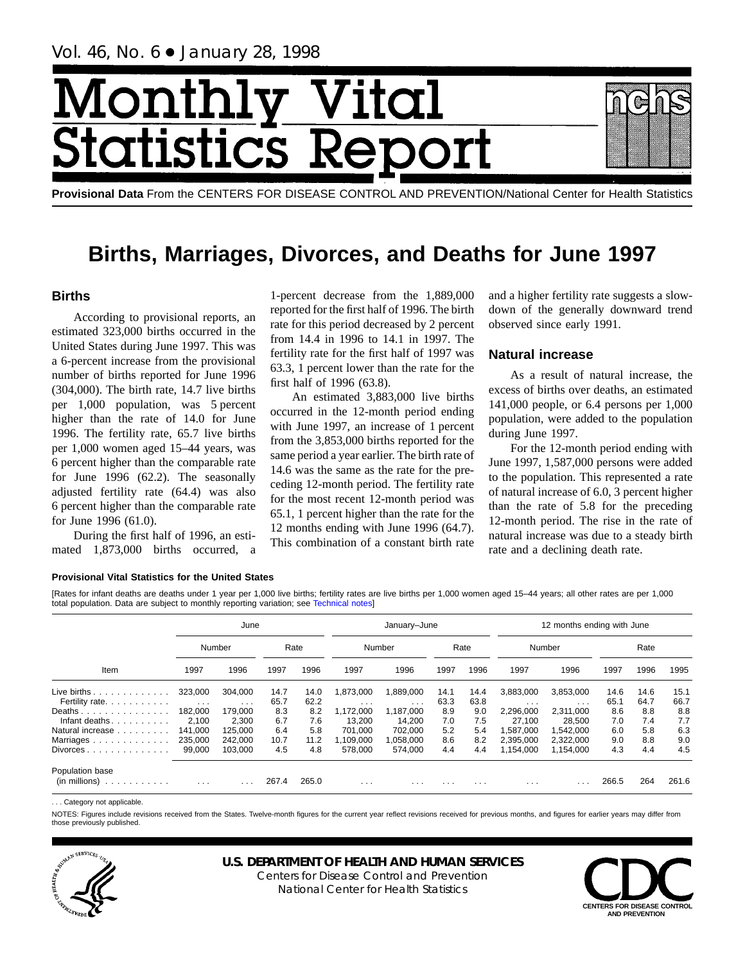# Month Vital tics R **itatist**

**Provisional Data** From the CENTERS FOR DISEASE CONTROL AND PREVENTION/National Center for Health Statistics

## **Births, Marriages, Divorces, and Deaths for June 1997**

## **Births**

According to provisional reports, an estimated 323,000 births occurred in the United States during June 1997. This was a 6-percent increase from the provisional number of births reported for June 1996 (304,000). The birth rate, 14.7 live births per 1,000 population, was 5 percent higher than the rate of 14.0 for June 1996. The fertility rate, 65.7 live births per 1,000 women aged 15–44 years, was 6 percent higher than the comparable rate for June 1996 (62.2). The seasonally adjusted fertility rate (64.4) was also 6 percent higher than the comparable rate for June 1996 (61.0).

During the first half of 1996, an estimated 1,873,000 births occurred, a 1-percent decrease from the 1,889,000 reported for the first half of 1996. The birth rate for this period decreased by 2 percent from 14.4 in 1996 to 14.1 in 1997. The fertility rate for the first half of 1997 was 63.3, 1 percent lower than the rate for the first half of 1996 (63.8).

An estimated 3,883,000 live births occurred in the 12-month period ending with June 1997, an increase of 1 percent from the 3,853,000 births reported for the same period a year earlier. The birth rate of 14.6 was the same as the rate for the preceding 12-month period. The fertility rate for the most recent 12-month period was 65.1, 1 percent higher than the rate for the 12 months ending with June 1996 (64.7). This combination of a constant birth rate and a higher fertility rate suggests a slowdown of the generally downward trend observed since early 1991.

## **Natural increase**

As a result of natural increase, the excess of births over deaths, an estimated 141,000 people, or 6.4 persons per 1,000 population, were added to the population during June 1997.

For the 12-month period ending with June 1997, 1,587,000 persons were added to the population. This represented a rate of natural increase of 6.0, 3 percent higher than the rate of 5.8 for the preceding 12-month period. The rise in the rate of natural increase was due to a steady birth rate and a declining death rate.

## **Provisional Vital Statistics for the United States**

[Rates for infant deaths are deaths under 1 year per 1,000 live birt[hs; fertility rates are](#page-16-0) live births per 1,000 women aged 15–44 years; all other rates are per 1,000 total population. Data are subject to monthly reporting variation; see Technical notes]

|                                                                            |                         | June                    |       |       |           | January-June |          |          |           | 12 months ending with June |       |      |       |
|----------------------------------------------------------------------------|-------------------------|-------------------------|-------|-------|-----------|--------------|----------|----------|-----------|----------------------------|-------|------|-------|
|                                                                            |                         | Number                  |       | Rate  |           | Number       |          | Rate     |           | Number                     |       | Rate |       |
| Item                                                                       | 1997                    | 1996                    | 1997  | 1996  | 1997      | 1996         | 1997     | 1996     | 1997      | 1996                       | 1997  | 1996 | 1995  |
| Live births $\ldots$                                                       | 323,000                 | 304.000                 | 14.7  | 14.0  | ,873,000  | 1,889,000    | 14.1     | 14.4     | 3,883,000 | 3,853,000                  | 14.6  | 14.6 | 15.1  |
| Fertility rate.                                                            | $\cdot$ $\cdot$ $\cdot$ | $\cdot$ $\cdot$ $\cdot$ | 65.7  | 62.2  | $\cdots$  | $\cdots$     | 63.3     | 63.8     | $\cdots$  | $\cdots$                   | 65.1  | 64.7 | 66.7  |
| Deaths                                                                     | 182.000                 | 179.000                 | 8.3   | 8.2   | .172.000  | 1,187,000    | 8.9      | 9.0      | 2.296.000 | 2.311.000                  | 8.6   | 8.8  | 8.8   |
| Infant deaths. $\ldots$ .                                                  | 2.100                   | 2,300                   | 6.7   | 7.6   | 13.200    | 14.200       | 7.0      | 7.5      | 27,100    | 28.500                     | 7.0   | 7.4  | 7.7   |
| Natural increase                                                           | 141.000                 | 125.000                 | 6.4   | 5.8   | 701.000   | 702.000      | 5.2      | 5.4      | 1.587.000 | 1.542.000                  | 6.0   | 5.8  | 6.3   |
| Marriages                                                                  | 235,000                 | 242,000                 | 10.7  | 11.2  | 1,109,000 | 1,058,000    | 8.6      | 8.2      | 2,395,000 | 2,322,000                  | 9.0   | 8.8  | 9.0   |
| Divorces                                                                   | 99,000                  | 103.000                 | 4.5   | 4.8   | 578.000   | 574.000      | 4.4      | 4.4      | 1,154,000 | 1,154,000                  | 4.3   | 4.4  | 4.5   |
| Population base<br>(in millions)<br>the second contract of the second con- | $\cdots$                | .                       | 267.4 | 265.0 | $\cdots$  | $\cdots$     | $\cdots$ | $\cdots$ | $\cdots$  | $\cdots$                   | 266.5 | 264  | 261.6 |

... Category not applicable

NOTES: Figures include revisions received from the States. Twelve-month figures for the current year reflect revisions received for previous months, and figures for earlier years may differ from those previously published.



## **U.S. DEPARTMENT OF HEALTH AND HUMAN SERVICES**

Centers for Disease Control and Prevention National Center for Health Statistics

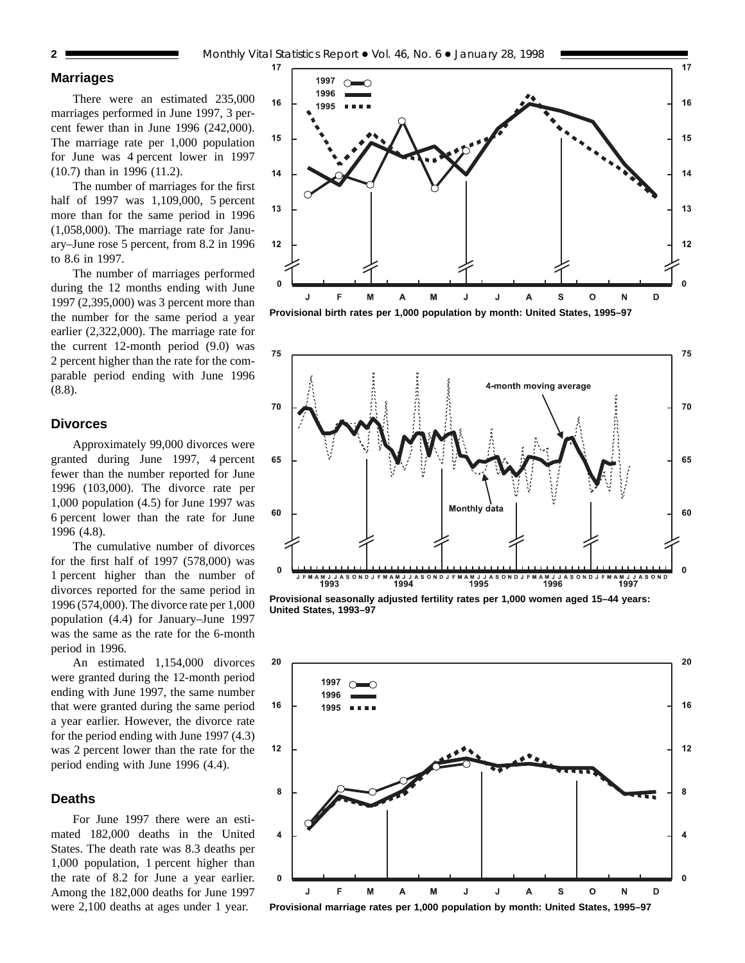## **Marriages**

There were an estimated 235,000 marriages performed in June 1997, 3 percent fewer than in June 1996 (242,000). The marriage rate per 1,000 population for June was 4 percent lower in 1997 (10.7) than in 1996 (11.2).

The number of marriages for the first half of 1997 was 1,109,000, 5 percent more than for the same period in 1996 (1,058,000). The marriage rate for January–June rose 5 percent, from 8.2 in 1996 to 8.6 in 1997.

The number of marriages performed during the 12 months ending with June 1997 (2,395,000) was 3 percent more than the number for the same period a year earlier (2,322,000). The marriage rate for the current 12-month period (9.0) was 2 percent higher than the rate for the comparable period ending with June 1996 (8.8).

## **Divorces**

Approximately 99,000 divorces were granted during June 1997, 4 percent fewer than the number reported for June 1996 (103,000). The divorce rate per 1,000 population (4.5) for June 1997 was 6 percent lower than the rate for June 1996 (4.8).

The cumulative number of divorces for the first half of 1997 (578,000) was 1 percent higher than the number of divorces reported for the same period in 1996 (574,000). The divorce rate per 1,000 population (4.4) for January–June 1997 was the same as the rate for the 6-month period in 1996.

An estimated 1,154,000 divorces were granted during the 12-month period ending with June 1997, the same number that were granted during the same period a year earlier. However, the divorce rate for the period ending with June 1997 (4.3) was 2 percent lower than the rate for the period ending with June 1996 (4.4).

#### **Deaths**

For June 1997 there were an estimated 182,000 deaths in the United States. The death rate was 8.3 deaths per 1,000 population, 1 percent higher than the rate of 8.2 for June a year earlier. Among the 182,000 deaths for June 1997 were 2,100 deaths at ages under 1 year.







**Provisional seasonally adjusted fertility rates per 1,000 women aged 15–44 years: United States, 1993–97**



**Provisional marriage rates per 1,000 population by month: United States, 1995–97**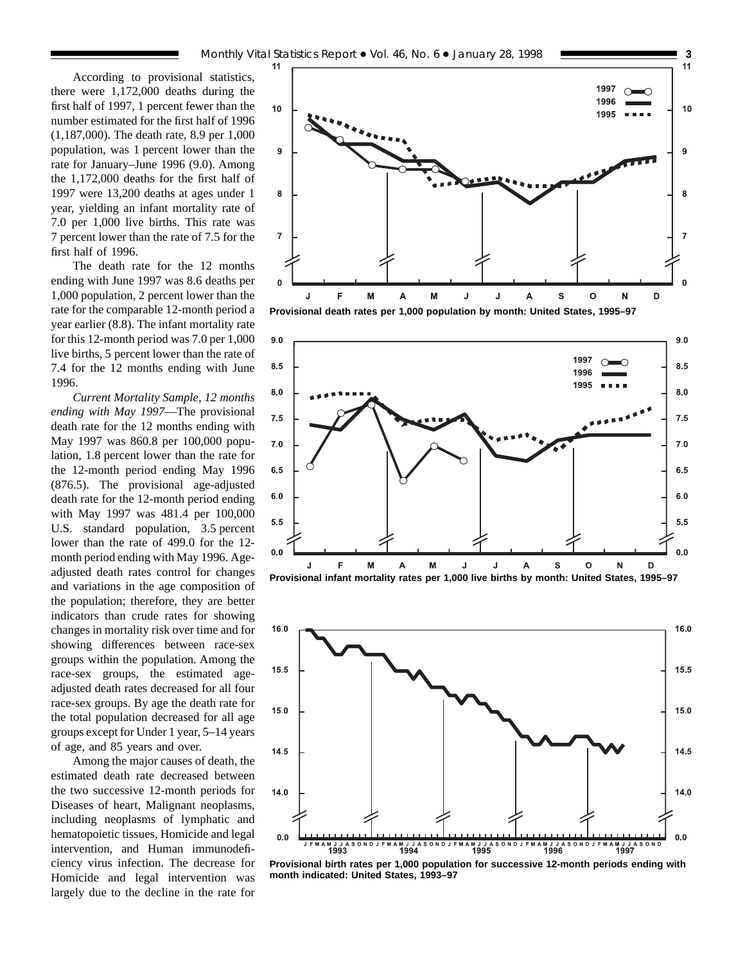According to provisional statistics, there were 1,172,000 deaths during the first half of 1997, 1 percent fewer than the number estimated for the first half of 1996 (1,187,000). The death rate, 8.9 per 1,000 population, was 1 percent lower than the rate for January–June 1996 (9.0). Among the 1,172,000 deaths for the first half of 1997 were 13,200 deaths at ages under 1 year, yielding an infant mortality rate of 7.0 per 1,000 live births. This rate was 7 percent lower than the rate of 7.5 for the first half of 1996.

The death rate for the 12 months ending with June 1997 was 8.6 deaths per 1,000 population, 2 percent lower than the rate for the comparable 12-month period a year earlier (8.8). The infant mortality rate for this 12-month period was 7.0 per 1,000 live births, 5 percent lower than the rate of 7.4 for the 12 months ending with June 1996.

*Current Mortality Sample, 12 months ending with May 1997*—The provisional death rate for the 12 months ending with May 1997 was 860.8 per 100,000 population, 1.8 percent lower than the rate for the 12-month period ending May 1996 (876.5). The provisional age-adjusted death rate for the 12-month period ending with May 1997 was 481.4 per 100,000 U.S. standard population, 3.5 percent lower than the rate of 499.0 for the 12 month period ending with May 1996. Ageadjusted death rates control for changes and variations in the age composition of the population; therefore, they are better indicators than crude rates for showing changes in mortality risk over time and for showing differences between race-sex groups within the population. Among the race-sex groups, the estimated ageadjusted death rates decreased for all four race-sex groups. By age the death rate for the total population decreased for all age groups except for Under 1 year, 5–14 years of age, and 85 years and over.

Among the major causes of death, the estimated death rate decreased between the two successive 12-month periods for Diseases of heart, Malignant neoplasms, including neoplasms of lymphatic and hematopoietic tissues, Homicide and legal intervention, and Human immunodeficiency virus infection. The decrease for Homicide and legal intervention was largely due to the decline in the rate for



**Provisional death rates per 1,000 population by month: United States, 1995–97**





**Provisional birth rates per 1,000 population for successive 12-month periods ending with month indicated: United States, 1993–97**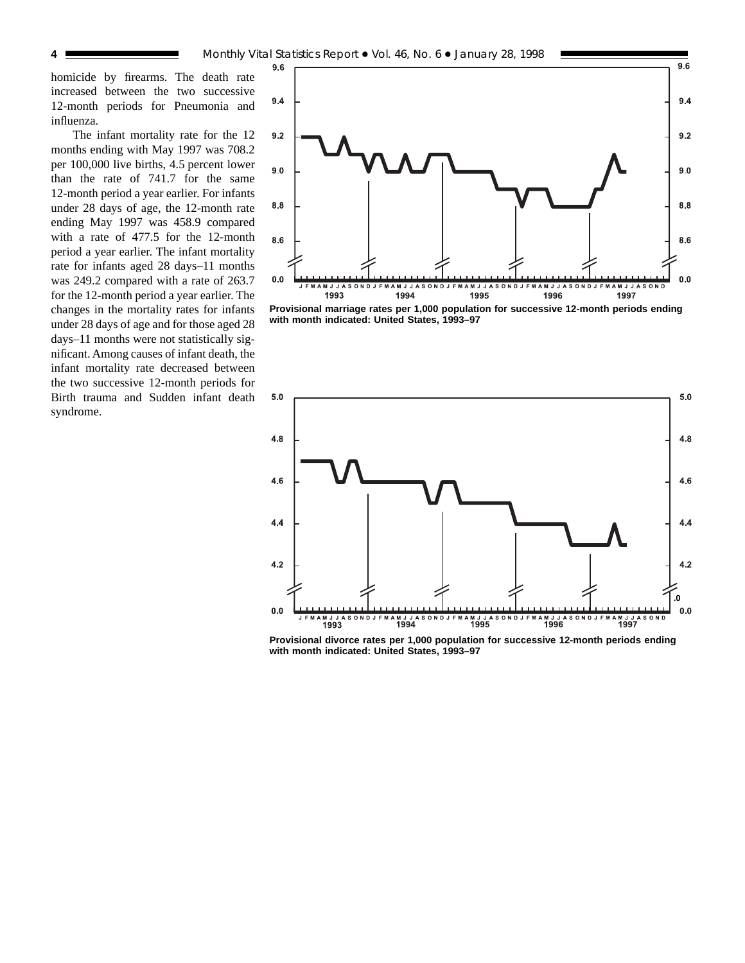homicide by firearms. The death rate increased between the two successive 12-month periods for Pneumonia and influenza.

The infant mortality rate for the 12 months ending with May 1997 was 708.2 per 100,000 live births, 4.5 percent lower than the rate of 741.7 for the same 12-month period a year earlier. For infants under 28 days of age, the 12-month rate ending May 1997 was 458.9 compared with a rate of 477.5 for the 12-month period a year earlier. The infant mortality rate for infants aged 28 days–11 months was 249.2 compared with a rate of 263.7 for the 12-month period a year earlier. The changes in the mortality rates for infants under 28 days of age and for those aged 28 days–11 months were not statistically significant. Among causes of infant death, the infant mortality rate decreased between the two successive 12-month periods for Birth trauma and Sudden infant death syndrome.



**Provisional marriage rates per 1,000 population for successive 12-month periods ending with month indicated: United States, 1993–97**



**Provisional divorce rates per 1,000 population for successive 12-month periods ending with month indicated: United States, 1993–97**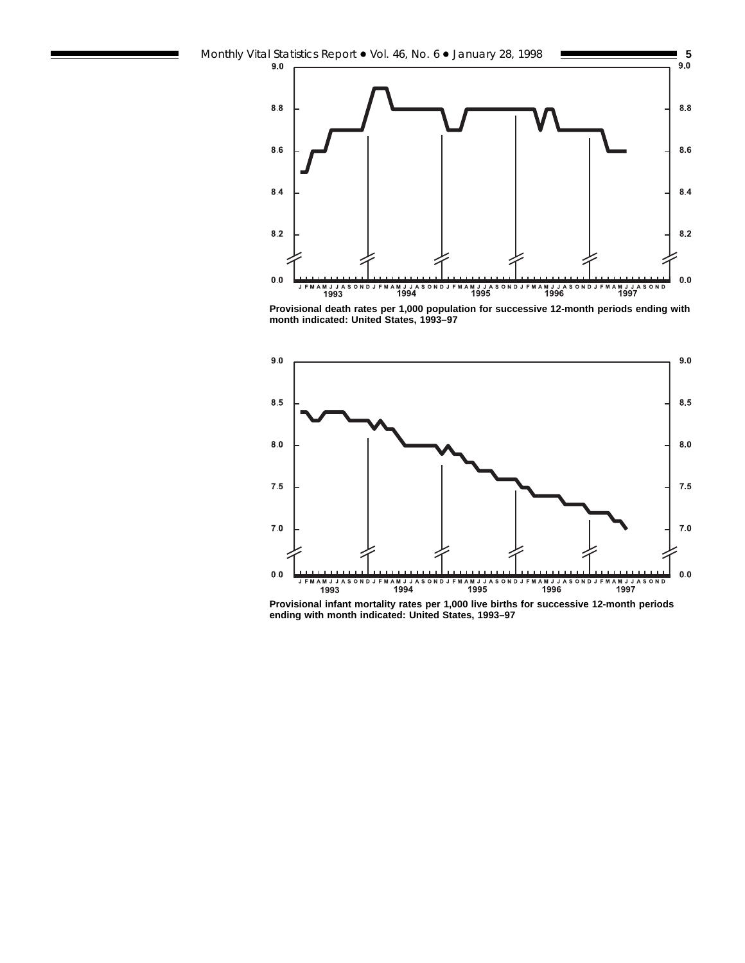

**Provisional death rates per 1,000 population for successive 12-month periods ending with month indicated: United States, 1993–97**



**Provisional infant mortality rates per 1,000 live births for successive 12-month periods ending with month indicated: United States, 1993–97**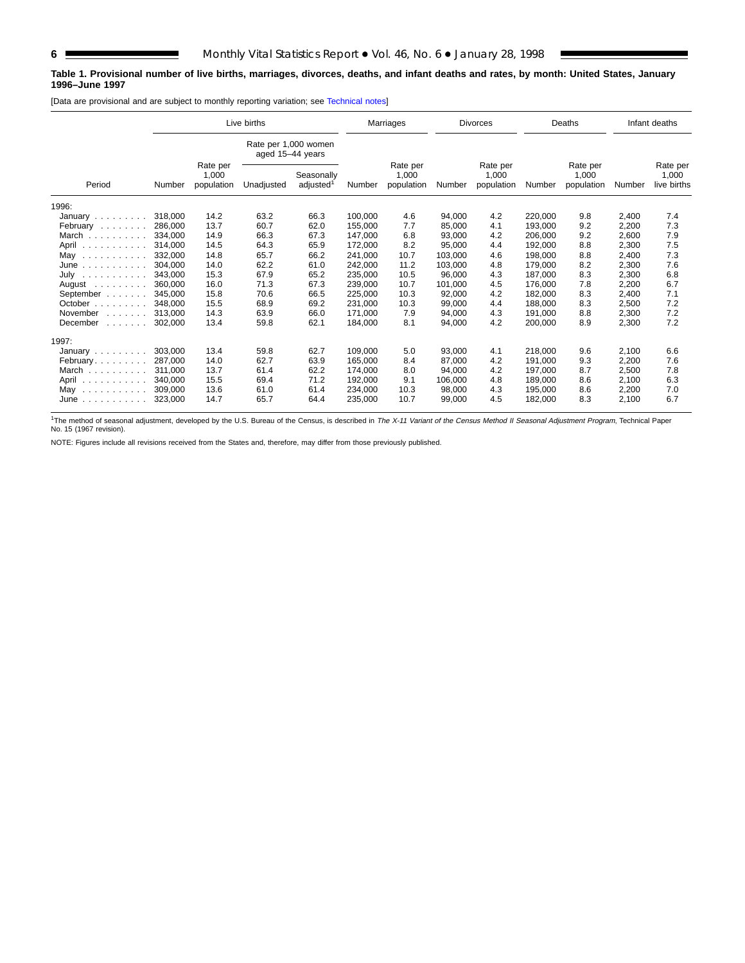#### **Table 1. Provisional number of live births, marriages, divorces, deaths, and infant deaths and rates, by month: United States, January 1996–June 1997**

[Data are provisional and are subject to monthly reporting variation; see [Technical notes\]](#page-16-0)

|                                                                |         |                                 | Live births                              |                                     |         | Marriages                       |         | <b>Divorces</b>                 |         | Deaths                          |        | Infant deaths                    |
|----------------------------------------------------------------|---------|---------------------------------|------------------------------------------|-------------------------------------|---------|---------------------------------|---------|---------------------------------|---------|---------------------------------|--------|----------------------------------|
|                                                                |         |                                 | Rate per 1,000 women<br>aged 15-44 years |                                     |         |                                 |         |                                 |         |                                 |        |                                  |
| Period                                                         | Number  | Rate per<br>1,000<br>population | Unadjusted                               | Seasonally<br>adjusted <sup>1</sup> | Number  | Rate per<br>1.000<br>population | Number  | Rate per<br>1,000<br>population | Number  | Rate per<br>1,000<br>population | Number | Rate per<br>1,000<br>live births |
| 1996:                                                          |         |                                 |                                          |                                     |         |                                 |         |                                 |         |                                 |        |                                  |
| January                                                        | 318,000 | 14.2                            | 63.2                                     | 66.3                                | 100.000 | 4.6                             | 94,000  | 4.2                             | 220.000 | 9.8                             | 2,400  | 7.4                              |
| February                                                       | 286,000 | 13.7                            | 60.7                                     | 62.0                                | 155,000 | 7.7                             | 85,000  | 4.1                             | 193,000 | 9.2                             | 2,200  | 7.3                              |
| March                                                          | 334,000 | 14.9                            | 66.3                                     | 67.3                                | 147,000 | 6.8                             | 93,000  | 4.2                             | 206,000 | 9.2                             | 2,600  | 7.9                              |
| April                                                          | 314.000 | 14.5                            | 64.3                                     | 65.9                                | 172,000 | 8.2                             | 95,000  | 4.4                             | 192.000 | 8.8                             | 2,300  | 7.5                              |
| May<br>.                                                       | 332,000 | 14.8                            | 65.7                                     | 66.2                                | 241,000 | 10.7                            | 103,000 | 4.6                             | 198.000 | 8.8                             | 2,400  | 7.3                              |
| $June \dots \dots \dots \dots$                                 | 304,000 | 14.0                            | 62.2                                     | 61.0                                | 242,000 | 11.2                            | 103,000 | 4.8                             | 179,000 | 8.2                             | 2,300  | 7.6                              |
| July                                                           | 343.000 | 15.3                            | 67.9                                     | 65.2                                | 235.000 | 10.5                            | 96.000  | 4.3                             | 187.000 | 8.3                             | 2,300  | 6.8                              |
| August $\ldots$ ,                                              | 360.000 | 16.0                            | 71.3                                     | 67.3                                | 239,000 | 10.7                            | 101,000 | 4.5                             | 176.000 | 7.8                             | 2,200  | 6.7                              |
| September                                                      | 345,000 | 15.8                            | 70.6                                     | 66.5                                | 225,000 | 10.3                            | 92,000  | 4.2                             | 182,000 | 8.3                             | 2,400  | 7.1                              |
| October                                                        | 348.000 | 15.5                            | 68.9                                     | 69.2                                | 231.000 | 10.3                            | 99.000  | 4.4                             | 188.000 | 8.3                             | 2,500  | 7.2                              |
| November<br>and a state of                                     | 313.000 | 14.3                            | 63.9                                     | 66.0                                | 171.000 | 7.9                             | 94,000  | 4.3                             | 191.000 | 8.8                             | 2,300  | 7.2                              |
| December<br>and a state of                                     | 302,000 | 13.4                            | 59.8                                     | 62.1                                | 184,000 | 8.1                             | 94,000  | 4.2                             | 200,000 | 8.9                             | 2,300  | 7.2                              |
| 1997:                                                          |         |                                 |                                          |                                     |         |                                 |         |                                 |         |                                 |        |                                  |
| January $\ldots$ , $\ldots$                                    | 303,000 | 13.4                            | 59.8                                     | 62.7                                | 109.000 | 5.0                             | 93,000  | 4.1                             | 218,000 | 9.6                             | 2,100  | 6.6                              |
| February                                                       | 287.000 | 14.0                            | 62.7                                     | 63.9                                | 165.000 | 8.4                             | 87.000  | 4.2                             | 191.000 | 9.3                             | 2.200  | 7.6                              |
| March                                                          | 311.000 | 13.7                            | 61.4                                     | 62.2                                | 174,000 | 8.0                             | 94,000  | 4.2                             | 197,000 | 8.7                             | 2,500  | 7.8                              |
| April                                                          | 340.000 | 15.5                            | 69.4                                     | 71.2                                | 192,000 | 9.1                             | 106.000 | 4.8                             | 189.000 | 8.6                             | 2,100  | 6.3                              |
| May<br>$\sim$ 100 km s $\sim$ 100 km s $\sim$ 100 km s $^{-1}$ | 309,000 | 13.6                            | 61.0                                     | 61.4                                | 234,000 | 10.3                            | 98,000  | 4.3                             | 195,000 | 8.6                             | 2,200  | 7.0                              |
| $June \dots \dots \dots \dots$                                 | 323,000 | 14.7                            | 65.7                                     | 64.4                                | 235,000 | 10.7                            | 99,000  | 4.5                             | 182,000 | 8.3                             | 2,100  | 6.7                              |

<sup>1</sup>The method of seasonal adjustment, developed by the U.S. Bureau of the Census, is described in *The X-11 Variant of the Census Method II Seasonal Adjustment Program*, Technical Paper<br>No. 15 (1967 revision).

NOTE: Figures include all revisions received from the States and, therefore, may differ from those previously published.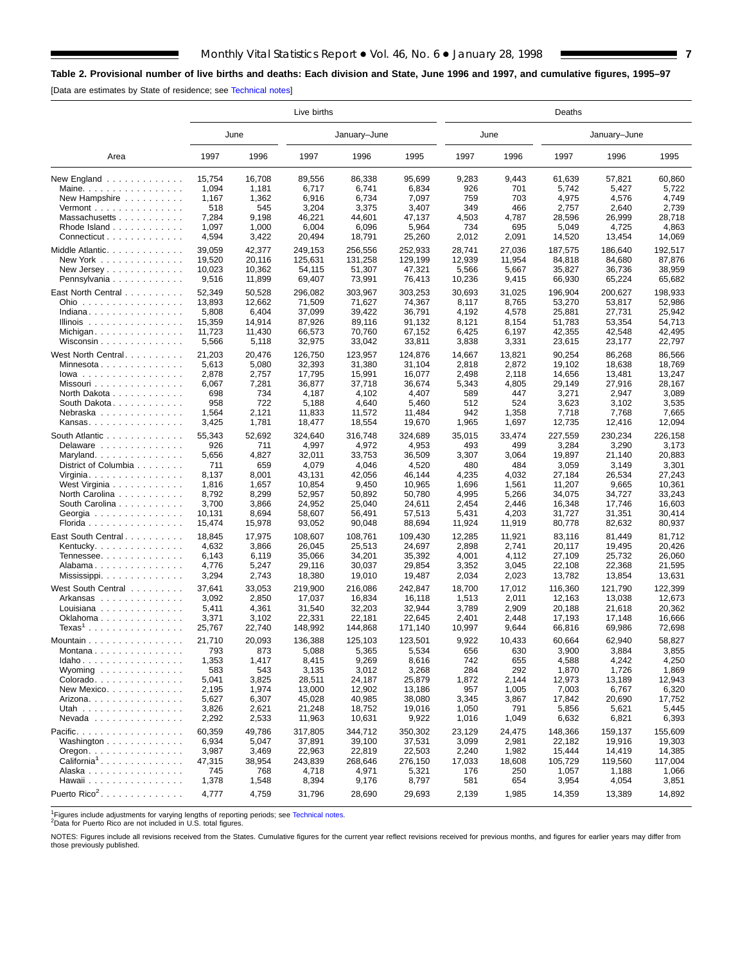## <span id="page-6-0"></span>**Table 2. Provisional number of live births and deaths: Each division and State, June 1996 and 1997, and cumulative figures, 1995–97**

[Data are estimates by State of residence; see [Technical notes\]](#page-16-0)

|                                             |        |        | Live births |              |         | Deaths |        |         |              |         |  |  |  |  |
|---------------------------------------------|--------|--------|-------------|--------------|---------|--------|--------|---------|--------------|---------|--|--|--|--|
|                                             |        | June   |             | January-June |         | June   |        |         | January-June |         |  |  |  |  |
| Area                                        | 1997   | 1996   | 1997        | 1996         | 1995    | 1997   | 1996   | 1997    | 1996         | 1995    |  |  |  |  |
| New England $\ldots$ ,                      | 15,754 | 16,708 | 89,556      | 86,338       | 95,699  | 9,283  | 9,443  | 61,639  | 57,821       | 60.860  |  |  |  |  |
| Maine. $\ldots$                             | 1,094  | 1,181  | 6,717       | 6,741        | 6,834   | 926    | 701    | 5,742   | 5,427        | 5,722   |  |  |  |  |
| New Hampshire                               | 1,167  | 1,362  | 6,916       | 6,734        | 7,097   | 759    | 703    | 4,975   | 4,576        | 4,749   |  |  |  |  |
| Vermont $\dots\dots\dots\dots\dots\dots$    | 518    | 545    | 3,204       | 3,375        | 3,407   | 349    | 466    | 2,757   | 2,640        | 2,739   |  |  |  |  |
| Massachusetts                               | 7,284  | 9,198  | 46,221      | 44,601       | 47,137  | 4,503  | 4,787  | 28,596  | 26,999       | 28,718  |  |  |  |  |
| Rhode Island                                | 1,097  | 1,000  | 6,004       | 6,096        | 5,964   | 734    | 695    | 5,049   | 4,725        | 4,863   |  |  |  |  |
| Connecticut                                 | 4,594  | 3,422  | 20,494      | 18,791       | 25,260  | 2,012  | 2,091  | 14,520  | 13,454       | 14,069  |  |  |  |  |
| Middle Atlantic.                            | 39,059 | 42,377 | 249,153     | 256,556      | 252,933 | 28,741 | 27,036 | 187,575 | 186,640      | 192,517 |  |  |  |  |
| New York                                    | 19,520 | 20,116 | 125,631     | 131,258      | 129,199 | 12,939 | 11,954 | 84,818  | 84,680       | 87,876  |  |  |  |  |
| New Jersey                                  | 10.023 | 10,362 | 54,115      | 51,307       | 47,321  | 5,566  | 5,667  | 35,827  | 36,736       | 38,959  |  |  |  |  |
| Pennsylvania                                | 9,516  | 11,899 | 69,407      | 73,991       | 76,413  | 10,236 | 9,415  | 66,930  | 65,224       | 65,682  |  |  |  |  |
|                                             |        |        |             |              |         |        |        |         |              |         |  |  |  |  |
| East North Central                          | 52,349 | 50,528 | 296,082     | 303,967      | 303,253 | 30,693 | 31,025 | 196,904 | 200,627      | 198,933 |  |  |  |  |
| Ohio                                        | 13,893 | 12,662 | 71,509      | 71,627       | 74,367  | 8,117  | 8,765  | 53,270  | 53,817       | 52,986  |  |  |  |  |
| Indiana                                     | 5,808  | 6,404  | 37,099      | 39,422       | 36,791  | 4,192  | 4,578  | 25,881  | 27,731       | 25,942  |  |  |  |  |
| Illinois $\ldots \ldots \ldots \ldots$      | 15,359 | 14,914 | 87,926      | 89,116       | 91,132  | 8,121  | 8,154  | 51,783  | 53,354       | 54,713  |  |  |  |  |
| Michigan                                    | 11,723 | 11,430 | 66,573      | 70,760       | 67,152  | 6,425  | 6,197  | 42,355  | 42,548       | 42,495  |  |  |  |  |
| Wisconsin                                   | 5,566  | 5,118  | 32,975      | 33,042       | 33,811  | 3,838  | 3,331  | 23,615  | 23,177       | 22,797  |  |  |  |  |
| West North Central                          | 21,203 | 20,476 | 126,750     | 123,957      | 124,876 | 14,667 | 13,821 | 90,254  | 86,268       | 86,566  |  |  |  |  |
| Minnesota                                   | 5,613  | 5,080  | 32,393      | 31,380       | 31,104  | 2,818  | 2,872  | 19,102  | 18,638       | 18,769  |  |  |  |  |
| $lowa$                                      | 2,878  | 2,757  | 17,795      | 15,991       | 16,077  | 2,498  | 2,118  | 14,656  | 13,481       | 13,247  |  |  |  |  |
| Missouri                                    | 6,067  | 7,281  | 36,877      | 37,718       | 36,674  | 5,343  | 4,805  | 29,149  | 27,916       | 28,167  |  |  |  |  |
| North Dakota                                | 698    | 734    | 4,187       | 4,102        | 4,407   | 589    | 447    | 3,271   | 2,947        | 3,089   |  |  |  |  |
| South Dakota.                               | 958    | 722    | 5,188       | 4,640        | 5,460   | 512    | 524    | 3,623   | 3,102        | 3,535   |  |  |  |  |
| Nebraska                                    | 1,564  | 2,121  | 11,833      | 11,572       | 11,484  | 942    | 1,358  | 7,718   | 7,768        | 7,665   |  |  |  |  |
| Kansas                                      | 3,425  | 1,781  | 18,477      | 18,554       | 19,670  | 1,965  | 1,697  | 12,735  | 12,416       | 12,094  |  |  |  |  |
|                                             |        |        |             |              |         |        |        |         |              |         |  |  |  |  |
| South Atlantic                              | 55,343 | 52,692 | 324,640     | 316,748      | 324,689 | 35,015 | 33,474 | 227,559 | 230,234      | 226,158 |  |  |  |  |
| Delaware                                    | 926    | 711    | 4,997       | 4,972        | 4,953   | 493    | 499    | 3,284   | 3,290        | 3,173   |  |  |  |  |
| Maryland                                    | 5,656  | 4,827  | 32,011      | 33,753       | 36,509  | 3,307  | 3,064  | 19,897  | 21,140       | 20,883  |  |  |  |  |
| District of Columbia                        | 711    | 659    | 4,079       | 4,046        | 4,520   | 480    | 484    | 3,059   | 3,149        | 3,301   |  |  |  |  |
| Virginia. $\ldots$ .                        | 8,137  | 8,001  | 43,131      | 42,056       | 46,144  | 4,235  | 4,032  | 27,184  | 26,534       | 27,243  |  |  |  |  |
| West Virginia                               | 1,816  | 1,657  | 10,854      | 9,450        | 10,965  | 1,696  | 1,561  | 11,207  | 9,665        | 10,361  |  |  |  |  |
| North Carolina                              | 8,792  | 8,299  | 52,957      | 50,892       | 50,780  | 4,995  | 5,266  | 34,075  | 34,727       | 33,243  |  |  |  |  |
| South Carolina                              | 3,700  | 3,866  | 24,952      | 25,040       | 24,611  | 2,454  | 2,446  | 16,348  | 17,746       | 16,603  |  |  |  |  |
| Georgia                                     | 10,131 | 8,694  | 58,607      | 56,491       | 57,513  | 5,431  | 4,203  | 31,727  | 31,351       | 30,414  |  |  |  |  |
| Florida                                     | 15,474 | 15,978 | 93,052      | 90,048       | 88,694  | 11,924 | 11,919 | 80,778  | 82,632       | 80,937  |  |  |  |  |
| East South Central                          | 18,845 | 17,975 | 108,607     | 108,761      | 109,430 | 12,285 | 11,921 | 83,116  | 81,449       | 81,712  |  |  |  |  |
| Kentucky. $\ldots$ .                        | 4,632  | 3,866  | 26,045      | 25,513       | 24,697  | 2,898  | 2,741  | 20,117  | 19,495       | 20,426  |  |  |  |  |
| Tennessee                                   | 6,143  | 6,119  | 35,066      | 34,201       | 35,392  | 4,001  | 4,112  | 27,109  | 25,732       | 26,060  |  |  |  |  |
| Alabama                                     | 4,776  | 5,247  | 29,116      | 30,037       | 29,854  | 3,352  | 3,045  | 22,108  | 22,368       | 21,595  |  |  |  |  |
| Mississippi                                 | 3,294  | 2,743  | 18,380      | 19,010       | 19,487  | 2,034  | 2,023  | 13,782  | 13,854       | 13,631  |  |  |  |  |
|                                             |        |        |             |              |         |        |        |         |              |         |  |  |  |  |
| West South Central                          | 37,641 | 33,053 | 219.900     | 216,086      | 242,847 | 18,700 | 17,012 | 116,360 | 121,790      | 122,399 |  |  |  |  |
| Arkansas                                    | 3,092  | 2,850  | 17,037      | 16,834       | 16,118  | 1,513  | 2,011  | 12,163  | 13,038       | 12,673  |  |  |  |  |
| Louisiana $\ldots \ldots \ldots \ldots$     | 5,411  | 4,361  | 31,540      | 32,203       | 32,944  | 3,789  | 2,909  | 20,188  | 21,618       | 20,362  |  |  |  |  |
| Oklahoma                                    | 3,371  | 3,102  | 22,331      | 22,181       | 22,645  | 2,401  | 2,448  | 17,193  | 17,148       | 16,666  |  |  |  |  |
| $Texas1$                                    | 25,767 | 22,740 | 148,992     | 144,868      | 171,140 | 10,997 | 9,644  | 66,816  | 69,986       | 72,698  |  |  |  |  |
| Mountain                                    | 21,710 | 20,093 | 136,388     | 125,103      | 123,501 | 9,922  | 10,433 | 60,664  | 62,940       | 58,827  |  |  |  |  |
| Montana                                     | 793    | 873    | 5,088       | 5,365        | 5,534   | 656    | 630    | 3,900   | 3,884        | 3,855   |  |  |  |  |
| Idaho                                       | 1,353  | 1,417  | 8,415       | 9,269        | 8,616   | 742    | 655    | 4,588   | 4,242        | 4,250   |  |  |  |  |
| Wyoming $\ldots \ldots \ldots \ldots$       | 583    | 543    | 3,135       | 3,012        | 3,268   | 284    | 292    | 1,870   | 1,726        | 1,869   |  |  |  |  |
| Colorado.                                   | 5,041  | 3,825  | 28,511      | 24,187       | 25,879  | 1,872  | 2,144  | 12,973  | 13,189       | 12,943  |  |  |  |  |
| New Mexico                                  | 2,195  | 1,974  | 13,000      | 12,902       | 13,186  | 957    | 1,005  | 7,003   | 6,767        | 6,320   |  |  |  |  |
| Arizona.                                    | 5,627  | 6,307  | 45,028      | 40,985       | 38,080  | 3,345  | 3,867  | 17,842  | 20,690       | 17,752  |  |  |  |  |
| Utah                                        | 3,826  | 2,621  | 21,248      | 18,752       | 19,016  | 1,050  | 791    | 5,856   | 5,621        | 5,445   |  |  |  |  |
| Nevada                                      | 2,292  | 2,533  | 11,963      | 10,631       | 9,922   | 1,016  | 1,049  | 6,632   | 6,821        | 6,393   |  |  |  |  |
|                                             |        |        |             |              |         |        |        |         |              |         |  |  |  |  |
| Pacific.                                    | 60,359 | 49,786 | 317,805     | 344,712      | 350,302 | 23,129 | 24,475 | 148,366 | 159,137      | 155,609 |  |  |  |  |
| Washington                                  | 6,934  | 5,047  | 37,891      | 39,100       | 37,531  | 3,099  | 2,981  | 22,182  | 19,916       | 19,303  |  |  |  |  |
| $O$ regon. $\ldots$ . $\ldots$ . $\ldots$ . | 3,987  | 3,469  | 22,963      | 22,819       | 22,503  | 2,240  | 1,982  | 15,444  | 14,419       | 14,385  |  |  |  |  |
| $California1$                               | 47,315 | 38,954 | 243,839     | 268,646      | 276,150 | 17,033 | 18,608 | 105,729 | 119,560      | 117,004 |  |  |  |  |
| Alaska                                      | 745    | 768    | 4,718       | 4,971        | 5,321   | 176    | 250    | 1,057   | 1,188        | 1,066   |  |  |  |  |
| Hawaii                                      | 1,378  | 1,548  | 8,394       | 9,176        | 8,797   | 581    | 654    | 3,954   | 4,054        | 3,851   |  |  |  |  |
| Puerto Rico <sup>2</sup> .                  | 4,777  | 4,759  | 31,796      | 28,690       | 29,693  | 2,139  | 1,985  | 14,359  | 13,389       | 14,892  |  |  |  |  |
|                                             |        |        |             |              |         |        |        |         |              |         |  |  |  |  |

1Figures include adjustments for varying lengths of reporting periods; see [Technical notes.](#page-16-0) 2Data for Puerto Rico are not included in U.S. total figures.

NOTES: Figures include all revisions received from the States. Cumulative figures for the current year reflect revisions received for previous months, and figures for earlier years may differ from those previously published.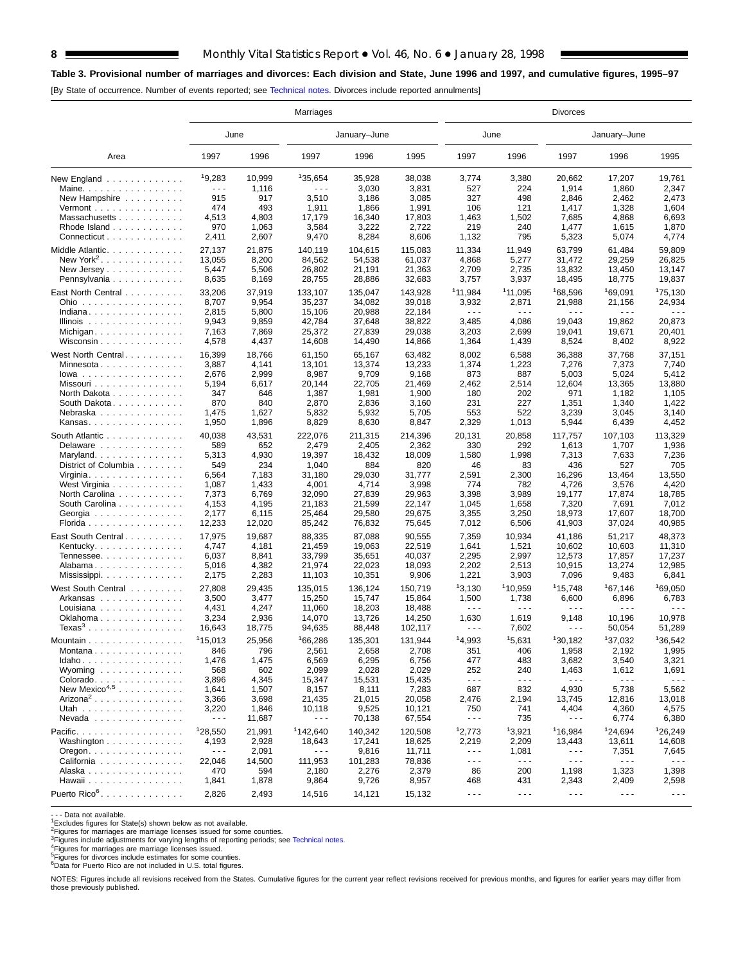## **8** Monthly Vital Statistics Report • Vol. 46, No. 6 • January 28, 1998

## **Table 3. Provisional number of marriages and divorces: Each division and State, June 1996 and 1997, and cumulative figures, 1995–97**

[By State of occurrence. Number of events reported; see [Technical notes. Di](#page-16-0)vorces include reported annulments]

|                                                    | Marriages            |        |                      |                  |                  | <b>Divorces</b>      |                               |                                |                                |                                |  |  |  |
|----------------------------------------------------|----------------------|--------|----------------------|------------------|------------------|----------------------|-------------------------------|--------------------------------|--------------------------------|--------------------------------|--|--|--|
|                                                    | June                 |        |                      | January-June     |                  | June                 |                               |                                | January-June                   |                                |  |  |  |
| Area                                               | 1997                 | 1996   | 1997                 | 1996             | 1995             | 1997                 | 1996                          | 1997                           | 1996                           | 1995                           |  |  |  |
| New England                                        | 19.283               | 10,999 | 135.654              | 35,928           | 38,038           | 3,774                | 3,380                         | 20,662                         | 17,207                         | 19,761                         |  |  |  |
| Maine. $\ldots$                                    | $\sim$ $\sim$ $\sim$ | 1,116  | $  -$                | 3,030            | 3,831            | 527                  | 224                           | 1,914                          | 1,860                          | 2,347                          |  |  |  |
| New Hampshire                                      | 915                  | 917    | 3,510                | 3,186            | 3,085            | 327                  | 498                           | 2,846                          | 2,462                          | 2,473                          |  |  |  |
| Vermont $\dots\dots\dots\dots\dots\dots$           | 474                  | 493    | 1,911                | 1,866            | 1,991            | 106                  | 121                           | 1,417                          | 1,328                          | 1,604                          |  |  |  |
| Massachusetts                                      | 4,513                | 4,803  | 17,179               | 16,340           | 17,803           | 1,463                | 1,502                         | 7,685                          | 4,868                          | 6,693                          |  |  |  |
| Rhode Island                                       | 970                  | 1,063  | 3,584                | 3,222            | 2,722            | 219                  | 240                           | 1,477                          | 1,615                          | 1,870                          |  |  |  |
| Connecticut                                        | 2,411                | 2,607  | 9,470                | 8,284            | 8,606            | 1,132                | 795                           | 5,323                          | 5,074                          | 4,774                          |  |  |  |
| Middle Atlantic.                                   | 27,137               | 21,875 | 140.119              | 104.615          | 115.083          | 11,334               | 11,949                        | 63,799                         | 61,484                         | 59,809                         |  |  |  |
| New York <sup>2</sup> .                            | 13,055               | 8,200  | 84,562               | 54,538           | 61,037           | 4,868                | 5,277                         | 31,472                         | 29,259                         | 26,825                         |  |  |  |
| New Jersey $\dots$ , $\dots$ , $\dots$ ,           | 5,447                | 5,506  | 26,802               | 21,191           | 21,363           | 2,709                | 2,735                         | 13,832                         | 13,450                         | 13,147                         |  |  |  |
| Pennsylvania                                       | 8,635                | 8,169  | 28,755               | 28,886           | 32,683           | 3,757                | 3,937                         | 18,495                         | 18,775                         | 19,837                         |  |  |  |
|                                                    |                      |        |                      |                  |                  | 11,984               | 11,095                        |                                |                                | 175,130                        |  |  |  |
| East North Central                                 | 33,206               | 37,919 | 133,107              | 135,047          | 143,928          |                      |                               | 168,596                        | 169,091                        |                                |  |  |  |
| Ohio                                               | 8,707                | 9,954  | 35,237<br>15,106     | 34,082<br>20,988 | 39,018<br>22,184 | 3,932<br>$  -$       | 2,871<br>$\sim$ $\sim$ $\sim$ | 21,988<br>$\sim$ $\sim$ $\sim$ | 21,156<br>$\sim$ $\sim$ $\sim$ | 24,934<br>$\sim$ $\sim$ $\sim$ |  |  |  |
| Indiana                                            | 2,815                | 5,800  |                      |                  |                  |                      |                               |                                |                                |                                |  |  |  |
| Illinois $\ldots \ldots \ldots \ldots$             | 9,943                | 9,859  | 42,784               | 37,648           | 38,822           | 3,485                | 4,086                         | 19,043                         | 19,862                         | 20,873                         |  |  |  |
| Michigan                                           | 7,163                | 7,869  | 25,372               | 27,839           | 29,038           | 3,203                | 2,699                         | 19,041                         | 19,671                         | 20,401                         |  |  |  |
| Wisconsin                                          | 4,578                | 4,437  | 14,608               | 14,490           | 14,866           | 1,364                | 1,439                         | 8,524                          | 8,402                          | 8,922                          |  |  |  |
| West North Central.                                | 16,399               | 18,766 | 61,150               | 65,167           | 63,482           | 8,002                | 6,588                         | 36,388                         | 37,768                         | 37,151                         |  |  |  |
| Minnesota                                          | 3,887                | 4,141  | 13,101               | 13,374           | 13,233           | 1,374                | 1,223                         | 7,276                          | 7,373                          | 7,740                          |  |  |  |
| $lowa$                                             | 2,676                | 2,999  | 8,987                | 9,709            | 9,168            | 873                  | 887                           | 5,003                          | 5,024                          | 5,412                          |  |  |  |
| Missouri                                           | 5,194                | 6,617  | 20,144               | 22,705           | 21,469           | 2,462                | 2,514                         | 12,604                         | 13,365                         | 13,880                         |  |  |  |
| North Dakota                                       | 347                  | 646    | 1,387                | 1,981            | 1,900            | 180                  | 202                           | 971                            | 1,182                          | 1,105                          |  |  |  |
| South Dakota                                       | 870                  | 840    | 2,870                | 2,836            | 3,160            | 231                  | 227                           | 1,351                          | 1,340                          | 1,422                          |  |  |  |
| Nebraska                                           | 1,475                | 1,627  | 5,832                | 5,932            | 5,705            | 553                  | 522                           | 3,239                          | 3,045                          | 3,140                          |  |  |  |
| Kansas                                             | 1,950                | 1,896  | 8,829                | 8,630            | 8,847            | 2,329                | 1,013                         | 5,944                          | 6,439                          | 4,452                          |  |  |  |
|                                                    |                      |        |                      |                  |                  |                      |                               |                                |                                |                                |  |  |  |
| South Atlantic                                     | 40,038               | 43,531 | 222,076              | 211.315          | 214,396          | 20,131               | 20.858                        | 117,757                        | 107,103                        | 113,329                        |  |  |  |
| Delaware                                           | 589                  | 652    | 2,479                | 2,405            | 2,362            | 330                  | 292                           | 1,613                          | 1,707                          | 1,936                          |  |  |  |
| Maryland                                           | 5,313                | 4,930  | 19,397               | 18,432           | 18,009           | 1,580                | 1,998                         | 7,313                          | 7,633                          | 7,236                          |  |  |  |
| District of Columbia                               | 549                  | 234    | 1,040                | 884              | 820              | 46                   | 83                            | 436                            | 527                            | 705                            |  |  |  |
| Virginia                                           | 6,564                | 7,183  | 31,180               | 29,030           | 31,777           | 2,591                | 2,300                         | 16,296                         | 13,464                         | 13,550                         |  |  |  |
| West Virginia                                      | 1,087                | 1,433  | 4,001                | 4,714            | 3,998            | 774                  | 782                           | 4,726                          | 3,576                          | 4,420                          |  |  |  |
| North Carolina                                     | 7,373                | 6,769  | 32,090               | 27,839           | 29,963           | 3,398                | 3,989                         | 19,177                         | 17,874                         | 18,785                         |  |  |  |
| South Carolina                                     | 4,153                | 4,195  | 21,183               | 21,599           | 22,147           | 1,045                | 1,658                         | 7,320                          | 7,691                          | 7,012                          |  |  |  |
| Georgia                                            | 2,177                | 6,115  | 25,464               | 29,580           | 29,675           | 3,355                | 3,250                         | 18,973                         | 17,607                         | 18,700                         |  |  |  |
| Florida                                            | 12,233               | 12,020 | 85,242               | 76,832           | 75,645           | 7,012                | 6,506                         | 41,903                         | 37,024                         | 40,985                         |  |  |  |
| East South Central                                 | 17,975               | 19,687 | 88,335               | 87,088           | 90,555           | 7,359                | 10,934                        | 41,186                         | 51,217                         | 48,373                         |  |  |  |
| Kentucky.                                          | 4,747                | 4,181  | 21,459               | 19,063           | 22,519           | 1,641                | 1,521                         | 10,602                         | 10,603                         | 11,310                         |  |  |  |
| Tennessee                                          | 6,037                | 8,841  | 33,799               | 35,651           | 40,037           | 2,295                | 2,997                         | 12,573                         | 17,857                         | 17,237                         |  |  |  |
| Alabama                                            | 5,016                | 4,382  | 21,974               | 22,023           | 18,093           | 2,202                | 2,513                         | 10,915                         | 13,274                         | 12,985                         |  |  |  |
| Mississippi                                        | 2,175                | 2,283  | 11,103               | 10,351           | 9,906            | 1,221                | 3,903                         | 7,096                          | 9,483                          | 6,841                          |  |  |  |
|                                                    |                      |        |                      |                  |                  |                      |                               |                                |                                |                                |  |  |  |
| West South Central                                 | 27,808               | 29,435 | 135,015              | 136,124          | 150.719          | 13,130               | 110,959                       | 115,748                        | <sup>1</sup> 67,146            | 169,050                        |  |  |  |
| Arkansas                                           | 3,500                | 3,477  | 15,250               | 15,747           | 15,864           | 1,500                | 1,738                         | 6,600                          | 6,896                          | 6,783                          |  |  |  |
| Louisiana                                          | 4,431                | 4,247  | 11,060               | 18,203           | 18,488           | $\sim$ $\sim$ $\sim$ | $\sim$ $\sim$ $\sim$          | $\sim$ $\sim$ $\sim$           | $\sim$ $\sim$ $\sim$           | .                              |  |  |  |
| Oklahoma                                           | 3,234                | 2,936  | 14,070               | 13,726           | 14,250           | 1,630                | 1,619                         | 9,148                          | 10,196                         | 10,978                         |  |  |  |
| $Texas3$                                           | 16,643               | 18,775 | 94,635               | 88,448           | 102,117          | $- - -$              | 7,602                         | $\sim$ $\sim$ $\sim$           | 50,054                         | 51,289                         |  |  |  |
| Mountain $\ldots$ , $\ldots$ , $\ldots$ , $\ldots$ | 115,013              | 25,956 | 166,286              | 135,301          | 131.944          | 14,993               | 15,631                        | 130,182                        | 137,032                        | 136,542                        |  |  |  |
| Montana                                            | 846                  | 796    | 2,561                | 2,658            | 2,708            | 351                  | 406                           | 1,958                          | 2,192                          | 1,995                          |  |  |  |
| Idaho                                              | 1,476                | 1,475  | 6,569                | 6,295            | 6,756            | 477                  | 483                           | 3,682                          | 3,540                          | 3,321                          |  |  |  |
| Wyoming                                            | 568                  | 602    | 2,099                | 2,028            | 2,029            | 252                  | 240                           | 1,463                          | 1,612                          | 1,691                          |  |  |  |
| Colorado                                           | 3,896                | 4,345  | 15,347               | 15,531           | 15,435           | $\sim$ $\sim$ $\sim$ | $\sim$ $\sim$ $\sim$          | $\sim$ $\sim$ $\sim$           | $\sim$ $\sim$ $\sim$           | $- - -$                        |  |  |  |
| New Mexico <sup>4,5</sup>                          | 1,641                | 1,507  | 8,157                | 8,111            | 7,283            | 687                  | 832                           | 4,930                          | 5,738                          | 5,562                          |  |  |  |
| Arizona <sup>2</sup>                               | 3,366                | 3,698  | 21,435               | 21,015           | 20,058           | 2,476                | 2,194                         | 13,745                         | 12,816                         | 13,018                         |  |  |  |
| Utah                                               | 3,220                | 1,846  | 10,118               | 9,525            | 10,121           | 750                  | 741                           | 4,404                          | 4,360                          | 4,575                          |  |  |  |
| Nevada                                             | $\sim$ $\sim$ $\sim$ | 11,687 | $\sim$ $\sim$ $\sim$ | 70,138           | 67,554           | $\sim$ $\sim$ $\sim$ | 735                           | $\sim$ $\sim$ $\sim$           | 6,774                          | 6,380                          |  |  |  |
|                                                    |                      |        |                      |                  |                  |                      |                               |                                |                                |                                |  |  |  |
| Pacific.                                           | 128,550              | 21,991 | <sup>1</sup> 142,640 | 140,342          | 120,508          | 12,773               | 13,921                        | <sup>1</sup> 16,984            | <sup>1</sup> 24,694            | 126,249                        |  |  |  |
| Washington $\ldots \ldots \ldots \ldots$           | 4,193                | 2,928  | 18,643               | 17,241           | 18,625           | 2,219                | 2,209                         | 13,443                         | 13,611                         | 14,608                         |  |  |  |
| $O$ regon. $\ldots$ . $\ldots$ . $\ldots$ .        | $\sim$ $\sim$ $\sim$ | 2,091  | $- - -$              | 9,816            | 11,711           | $\sim$ $\sim$ $\sim$ | 1,081                         | $\sim$ $\sim$ $\sim$           | 7,351                          | 7,645                          |  |  |  |
| California                                         | 22,046               | 14,500 | 111,953              | 101,283          | 78,836           | $\sim$ $\sim$ $\sim$ | $\sim$ $\sim$ $\sim$          | $\sim$ $\sim$ $\sim$           | $\sim$ $\sim$ $\sim$           | $  -$                          |  |  |  |
| Alaska                                             | 470                  | 594    | 2,180                | 2,276            | 2,379            | 86                   | 200                           | 1,198                          | 1,323                          | 1,398                          |  |  |  |
| Hawaii                                             | 1,841                | 1,878  | 9,864                | 9,726            | 8,957            | 468                  | 431                           | 2,343                          | 2,409                          | 2,598                          |  |  |  |
| Puerto Rico <sup>6</sup> .                         | 2,826                | 2,493  | 14,516               | 14,121           | 15,132           | $\sim$ $\sim$ $\sim$ | $\sim$ $\sim$ $\sim$          | $\sim$ $\sim$ $\sim$           | $\sim$ $\sim$ $\sim$           | $- - -$                        |  |  |  |

- - - Data not available.

1Excludes figures for State(s) shown below as not available. 2Figures for marriages are marriage licenses issued for some counties.

<sup>3</sup>Figures include adjustments for varying lengths of reporting periods; see [Technical notes.](#page-16-0)<br><sup>4</sup>Figures for marriages are marriage licenses issued.<br><sup>5</sup>Figures for divorces include estimates for some counties.<br><sup>6</sup>Data for

NOTES: Figures include all revisions received from the States. Cumulative figures for the current year reflect revisions received for previous months, and figures for earlier years may differ from those previously published.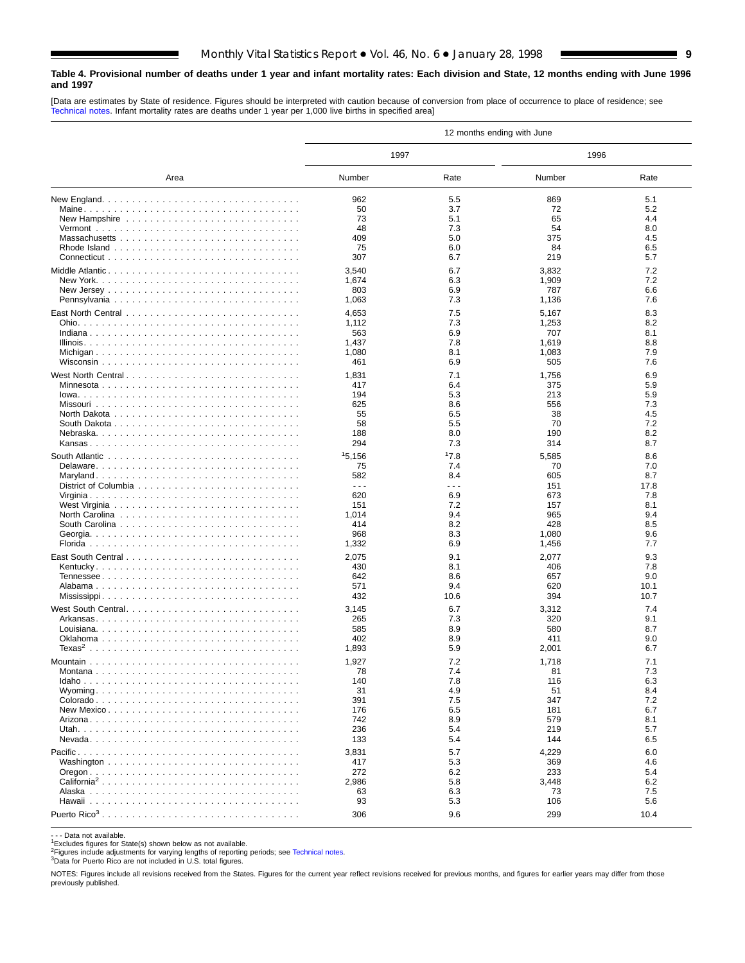#### <span id="page-8-0"></span>**Table 4. Provisional number of deaths under 1 year and infant mortality rates: Each division and State, 12 months ending with June 1996 and 1997**

[Data are estimates by State of residence. Figures should be interpreted with caution because of conversion from place of occurrence to place of residence; see [Technical notes. Infa](#page-16-0)nt mortality rates are deaths under 1 year per 1,000 live births in specified area]

|                                                                                        |                                                                                                                                                                                                                                                                                                                                                                                              |                      | 12 months ending with June |            |
|----------------------------------------------------------------------------------------|----------------------------------------------------------------------------------------------------------------------------------------------------------------------------------------------------------------------------------------------------------------------------------------------------------------------------------------------------------------------------------------------|----------------------|----------------------------|------------|
|                                                                                        | 1997                                                                                                                                                                                                                                                                                                                                                                                         |                      | 1996                       |            |
| Area                                                                                   | Number                                                                                                                                                                                                                                                                                                                                                                                       | Rate                 | Number                     | Rate       |
|                                                                                        | 962                                                                                                                                                                                                                                                                                                                                                                                          | 5.5                  | 869                        | 5.1        |
|                                                                                        | 50                                                                                                                                                                                                                                                                                                                                                                                           | 3.7                  | 72                         | 5.2        |
|                                                                                        | 73                                                                                                                                                                                                                                                                                                                                                                                           | 5.1                  | 65                         | 4.4        |
|                                                                                        | 48                                                                                                                                                                                                                                                                                                                                                                                           | 7.3                  | 54                         | 8.0        |
|                                                                                        | 409                                                                                                                                                                                                                                                                                                                                                                                          | 5.0                  | 375                        | 4.5        |
|                                                                                        | 75                                                                                                                                                                                                                                                                                                                                                                                           | 6.0                  | 84                         | 6.5        |
|                                                                                        | 307                                                                                                                                                                                                                                                                                                                                                                                          | 6.7                  | 219                        | 5.7        |
| Middle Atlantic                                                                        | 3,540                                                                                                                                                                                                                                                                                                                                                                                        | 6.7                  | 3,832                      | 7.2        |
|                                                                                        | 1,674                                                                                                                                                                                                                                                                                                                                                                                        | 6.3                  | 1,909                      | 7.2        |
|                                                                                        | 803                                                                                                                                                                                                                                                                                                                                                                                          | 6.9                  | 787                        | 6.6        |
|                                                                                        | 1,063                                                                                                                                                                                                                                                                                                                                                                                        | 7.3                  | 1,136                      | 7.6        |
|                                                                                        | 4,653                                                                                                                                                                                                                                                                                                                                                                                        | 7.5                  | 5,167                      | 8.3        |
|                                                                                        | 1,112                                                                                                                                                                                                                                                                                                                                                                                        | 7.3                  | 1,253                      | 8.2        |
|                                                                                        | 563                                                                                                                                                                                                                                                                                                                                                                                          | 6.9                  | 707                        | 8.1        |
|                                                                                        | 1,437                                                                                                                                                                                                                                                                                                                                                                                        | 7.8                  | 1,619                      | 8.8        |
|                                                                                        | 1,080                                                                                                                                                                                                                                                                                                                                                                                        | 8.1                  | 1,083                      | 7.9        |
|                                                                                        | 461                                                                                                                                                                                                                                                                                                                                                                                          | 6.9                  | 505                        | 7.6        |
|                                                                                        | 1,831                                                                                                                                                                                                                                                                                                                                                                                        | 7.1                  | 1,756                      | 6.9        |
|                                                                                        | 417                                                                                                                                                                                                                                                                                                                                                                                          | 6.4                  | 375                        | 5.9        |
|                                                                                        | 194                                                                                                                                                                                                                                                                                                                                                                                          | 5.3                  | 213                        | 5.9        |
|                                                                                        | 625                                                                                                                                                                                                                                                                                                                                                                                          | 8.6                  | 556                        | 7.3        |
|                                                                                        | 55<br>58                                                                                                                                                                                                                                                                                                                                                                                     | 6.5<br>5.5           | 38<br>70                   | 4.5<br>7.2 |
|                                                                                        | 188                                                                                                                                                                                                                                                                                                                                                                                          | 8.0                  | 190                        | 8.2        |
|                                                                                        | 294                                                                                                                                                                                                                                                                                                                                                                                          | 7.3                  | 314                        | 8.7        |
|                                                                                        |                                                                                                                                                                                                                                                                                                                                                                                              | 17.8                 |                            | 8.6        |
| South Atlantic $\ldots \ldots \ldots \ldots \ldots \ldots \ldots \ldots \ldots \ldots$ | 15,156<br>75                                                                                                                                                                                                                                                                                                                                                                                 | 7.4                  | 5,585<br>70                | 7.0        |
|                                                                                        | 582                                                                                                                                                                                                                                                                                                                                                                                          | 8.4                  | 605                        | 8.7        |
|                                                                                        | $\frac{1}{2} \frac{1}{2} \frac{1}{2} \frac{1}{2} \frac{1}{2} \frac{1}{2} \frac{1}{2} \frac{1}{2} \frac{1}{2} \frac{1}{2} \frac{1}{2} \frac{1}{2} \frac{1}{2} \frac{1}{2} \frac{1}{2} \frac{1}{2} \frac{1}{2} \frac{1}{2} \frac{1}{2} \frac{1}{2} \frac{1}{2} \frac{1}{2} \frac{1}{2} \frac{1}{2} \frac{1}{2} \frac{1}{2} \frac{1}{2} \frac{1}{2} \frac{1}{2} \frac{1}{2} \frac{1}{2} \frac{$ | $\sim$ $\sim$ $\sim$ | 151                        | 17.8       |
|                                                                                        | 620                                                                                                                                                                                                                                                                                                                                                                                          | 6.9                  | 673                        | 7.8        |
|                                                                                        | 151                                                                                                                                                                                                                                                                                                                                                                                          | 7.2                  | 157                        | 8.1        |
|                                                                                        | 1,014                                                                                                                                                                                                                                                                                                                                                                                        | 9.4                  | 965                        | 9.4        |
|                                                                                        | 414                                                                                                                                                                                                                                                                                                                                                                                          | 8.2                  | 428                        | 8.5        |
|                                                                                        | 968                                                                                                                                                                                                                                                                                                                                                                                          | 8.3                  | 1,080                      | 9.6        |
|                                                                                        | 1,332                                                                                                                                                                                                                                                                                                                                                                                        | 6.9                  | 1,456                      | 7.7        |
|                                                                                        | 2,075                                                                                                                                                                                                                                                                                                                                                                                        | 9.1                  | 2,077                      | 9.3        |
|                                                                                        | 430                                                                                                                                                                                                                                                                                                                                                                                          | 8.1                  | 406                        | 7.8        |
|                                                                                        | 642                                                                                                                                                                                                                                                                                                                                                                                          | 8.6                  | 657                        | 9.0        |
|                                                                                        | 571                                                                                                                                                                                                                                                                                                                                                                                          | 9.4                  | 620                        | 10.1       |
|                                                                                        | 432                                                                                                                                                                                                                                                                                                                                                                                          | 10.6                 | 394                        | 10.7       |
| West South Central                                                                     | 3,145                                                                                                                                                                                                                                                                                                                                                                                        | 6.7                  | 3,312                      | 7.4        |
|                                                                                        | 265                                                                                                                                                                                                                                                                                                                                                                                          | 7.3                  | 320                        | 9.1        |
|                                                                                        | 585                                                                                                                                                                                                                                                                                                                                                                                          | 8.9                  | 580                        | 8.7        |
|                                                                                        | 402                                                                                                                                                                                                                                                                                                                                                                                          | 8.9                  | 411                        | 9.0        |
|                                                                                        | 1,893                                                                                                                                                                                                                                                                                                                                                                                        | 5.9                  | 2,001                      | 6.7        |
|                                                                                        | 1,927                                                                                                                                                                                                                                                                                                                                                                                        | 7.2                  | 1,718                      | 7.1        |
|                                                                                        | 78                                                                                                                                                                                                                                                                                                                                                                                           | $\sqrt{4}$           | 81                         | 7.3        |
|                                                                                        | 140                                                                                                                                                                                                                                                                                                                                                                                          | 7.8                  | 116                        | 6.3        |
|                                                                                        | 31<br>391                                                                                                                                                                                                                                                                                                                                                                                    | 4.9<br>7.5           | 51<br>347                  | 8.4<br>7.2 |
|                                                                                        | 176                                                                                                                                                                                                                                                                                                                                                                                          | 6.5                  | 181                        | 6.7        |
|                                                                                        | 742                                                                                                                                                                                                                                                                                                                                                                                          | 8.9                  | 579                        | 8.1        |
|                                                                                        | 236                                                                                                                                                                                                                                                                                                                                                                                          | 5.4                  | 219                        | 5.7        |
|                                                                                        | 133                                                                                                                                                                                                                                                                                                                                                                                          | 5.4                  | 144                        | 6.5        |
|                                                                                        | 3,831                                                                                                                                                                                                                                                                                                                                                                                        | 5.7                  | 4,229                      | 6.0        |
|                                                                                        | 417                                                                                                                                                                                                                                                                                                                                                                                          | 5.3                  | 369                        | 4.6        |
|                                                                                        | 272                                                                                                                                                                                                                                                                                                                                                                                          | 6.2                  | 233                        | 5.4        |
| California <sup>2</sup>                                                                | 2,986                                                                                                                                                                                                                                                                                                                                                                                        | 5.8                  | 3,448                      | 6.2        |
|                                                                                        | 63                                                                                                                                                                                                                                                                                                                                                                                           | 6.3                  | 73                         | 7.5        |
|                                                                                        | 93                                                                                                                                                                                                                                                                                                                                                                                           | 5.3                  | 106                        | 5.6        |
|                                                                                        | 306                                                                                                                                                                                                                                                                                                                                                                                          | 9.6                  | 299                        | 10.4       |

- - Data not available.<br><sup>1</sup>Excludes figures for State(s) shown below as not available.

<sup>2</sup>Figures include adjustments for varying lengths of reporting periods; see [Technical notes.](#page-16-0)<br><sup>3</sup>Data for Puerto Rico are not included in U.S. total figures.

NOTES: Figures include all revisions received from the States. Figures for the current year reflect revisions received for previous months, and figures for earlier years may differ from those previously published.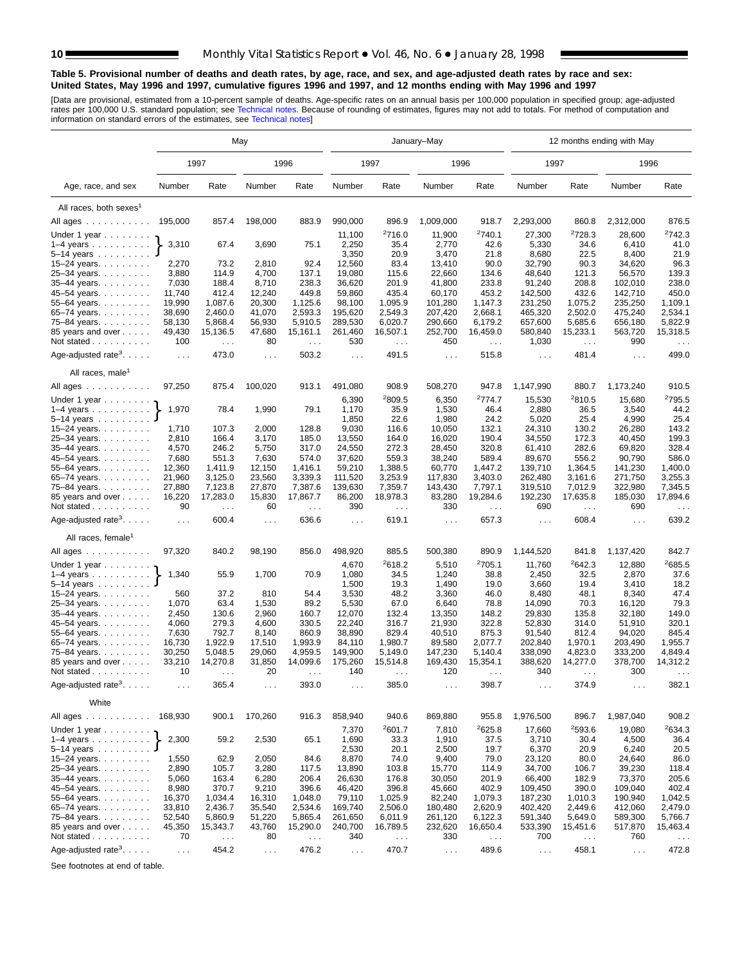#### **Table 5. Provisional number of deaths and death rates, by age, race, and sex, and age-adjusted death rates by race and sex: United States, May 1996 and 1997, cumulative figures 1996 and 1997, and 12 months ending with May 1996 and 1997**

[Data are provisional, estimated from a 10-p[ercent sample of deaths. Age](#page-16-0)-specific rates on an annual basis per 100,000 population in specified group; age-adjusted<br>rates per 100,000 U.S. standard population; see Technical n

|                                                                    |                      |                    | May                  |                               |                      |                               | January-May          |                               |                      |                             | 12 months ending with May     |                             |
|--------------------------------------------------------------------|----------------------|--------------------|----------------------|-------------------------------|----------------------|-------------------------------|----------------------|-------------------------------|----------------------|-----------------------------|-------------------------------|-----------------------------|
|                                                                    |                      | 1997               |                      | 1996                          |                      | 1997                          | 1996                 |                               | 1997                 |                             | 1996                          |                             |
| Age, race, and sex                                                 | Number               | Rate               | Number               | Rate                          | Number               | Rate                          | Number               | Rate                          | Number               | Rate                        | Number                        | Rate                        |
| All races, both sexes <sup>1</sup>                                 |                      |                    |                      |                               |                      |                               |                      |                               |                      |                             |                               |                             |
| All ages                                                           | 195,000              | 857.4              | 198,000              | 883.9                         | 990,000              | 896.9                         | 1,009,000            | 918.7                         | 2,293,000            | 860.8                       | 2,312,000                     | 876.5                       |
| Under 1 year $\ldots \ldots$                                       |                      |                    |                      |                               | 11,100               | 2716.0                        | 11,900               | 2740.1                        | 27,300               | 2728.3                      | 28,600                        | 2742.3                      |
| $1-4$ years                                                        | 3,310                | 67.4               | 3,690                | 75.1                          | 2,250                | 35.4                          | 2,770                | 42.6                          | 5,330                | 34.6                        | 6,410                         | 41.0                        |
| $5 - 14$ years                                                     |                      |                    |                      |                               | 3,350                | 20.9                          | 3,470                | 21.8                          | 8,680                | 22.5                        | 8,400                         | 21.9                        |
| 15-24 years.                                                       | 2,270                | 73.2               | 2,810                | 92.4                          | 12,560               | 83.4                          | 13,410               | 90.0                          | 32,790               | 90.3                        | 34,620                        | 96.3                        |
| 25-34 years.                                                       | 3,880                | 114.9              | 4,700                | 137.1                         | 19,080               | 115.6                         | 22,660               | 134.6                         | 48,640               | 121.3                       | 56,570                        | 139.3                       |
| 35-44 years.                                                       | 7,030                | 188.4              | 8,710                | 238.3                         | 36,620               | 201.9                         | 41,800               | 233.8                         | 91,240               | 208.8                       | 102,010                       | 238.0                       |
| 45-54 years.                                                       | 11,740               | 412.4              | 12,240               | 449.8                         | 59,860               | 435.4                         | 60,170               | 453.2                         | 142,500              | 432.6                       | 142,710                       | 450.0                       |
| 55-64 years.                                                       | 19,990               | 1,087.6            | 20,300               | 1,125.6                       | 98,100               | 1,095.9                       | 101,280              | 1,147.3                       | 231,250              | 1,075.2                     | 235,250                       | 1,109.1                     |
| 65-74 years.                                                       | 38,690               | 2,460.0            | 41,070               | 2,593.3                       | 195,620              | 2,549.3                       | 207,420              | 2,668.1                       | 465,320              | 2,502.0                     | 475,240                       | 2,534.1                     |
| 75–84 years.                                                       | 58,130               | 5,868.4            | 56,930               | 5,910.5                       | 289,530              | 6,020.7                       | 290,660              | 6,179.2                       | 657,600              | 5,685.6                     | 656,180                       | 5,822.9                     |
| 85 years and over                                                  | 49,430               | 15,136.5           | 47,680               | 15,161.1                      | 261,460              | 16,507.1                      | 252,700              | 16,459.0                      | 580,840              | 15,233.1                    | 563,720                       | 15,318.5                    |
| Not stated                                                         | 100                  | $\sim$ .           | 80                   | $\sim$ $\sim$                 | 530                  | $\ldots$                      | 450                  | $\sim$ $\sim$                 | 1,030                | $\sim$ $\sim$               | 990                           | $\sim$ $\sim$ $\sim$        |
| Age-adjusted rate <sup>3</sup> . $\ldots$ .                        | $\ldots$             | 473.0              | $\sim$ $\sim$        | 503.2                         | $\sim$ $\sim$ $\sim$ | 491.5                         | $\sim$ $\sim$ $\sim$ | 515.8                         | $\sim 100$           | 481.4                       | $\sim$ $\sim$ $\sim$          | 499.0                       |
| All races, male <sup>1</sup>                                       |                      |                    |                      |                               |                      |                               |                      |                               |                      |                             |                               |                             |
| All ages                                                           | 97,250               | 875.4              | 100,020              | 913.1                         | 491,080              | 908.9                         | 508,270              | 947.8                         | 1,147,990            | 880.7                       | 1,173,240                     | 910.5                       |
| Under 1 year                                                       |                      |                    |                      |                               | 6,390                | <sup>2</sup> 809.5            | 6,350                | 2774.7                        | 15,530               | 2810.5                      | 15,680                        | <sup>2</sup> 795.5          |
| $1-4$ years                                                        | 1,970                | 78.4               | 1,990                | 79.1                          | 1,170                | 35.9                          | 1,530                | 46.4                          | 2,880                | 36.5                        | 3,540                         | 44.2                        |
| $5 - 14$ years                                                     |                      |                    |                      |                               | 1,850                | 22.6                          | 1,980                | 24.2                          | 5,020                | 25.4                        | 4,990                         | 25.4                        |
| 15-24 years.                                                       | 1,710                | 107.3              | 2,000                | 128.8                         | 9,030                | 116.6                         | 10,050               | 132.1                         | 24,310               | 130.2                       | 26,280                        | 143.2                       |
| 25-34 years.                                                       | 2,810                | 166.4              | 3,170                | 185.0                         | 13,550               | 164.0                         | 16,020               | 190.4                         | 34,550               | 172.3                       | 40,450                        | 199.3                       |
| 35-44 years.                                                       | 4,570                | 246.2              | 5,750                | 317.0                         | 24,550               | 272.3                         | 28,450               | 320.8                         | 61,410               | 282.6                       | 69,820                        | 328.4                       |
| 45–54 years.                                                       | 7,680                | 551.3              | 7,630                | 574.0                         | 37,620               | 559.3                         | 38,240               | 589.4                         | 89,670               | 556.2                       | 90,790                        | 586.0                       |
| $55 - 64$ years.                                                   | 12,360               | 1,411.9            | 12,150               | 1,416.1                       | 59,210               | 1,388.5                       | 60,770               | 1,447.2<br>3,403.0            | 139,710              | 1,364.5                     | 141,230                       | 1,400.0<br>3,255.3          |
| 65-74 years.                                                       | 21,960<br>27,880     | 3,125.0<br>7,123.8 | 23,560<br>27,870     | 3,339.3<br>7,387.6            | 111,520<br>139,630   | 3,253.9<br>7,359.7            | 117,830<br>143,430   | 7,797.1                       | 262,480<br>319,510   | 3,161.6<br>7,012.9          | 271,750<br>322,980            | 7,345.5                     |
| 75-84 years.<br>85 years and over                                  | 16,220               | 17,283.0           | 15,830               | 17,867.7                      | 86,200               | 18,978.3                      | 83,280               | 19,284.6                      | 192,230              | 17,635.8                    | 185,030                       | 17,894.6                    |
| Not stated                                                         | 90                   |                    | 60                   |                               | 390                  |                               | 330                  |                               | 690                  |                             | 690                           |                             |
| Age-adjusted rate <sup>3</sup> . $\ldots$ .                        | $\ldots$             | $\sim$ .<br>600.4  | $\ldots$             | $\sim$ $\sim$ $\sim$<br>636.6 | $\ldots$             | $\sim$ $\sim$ $\sim$<br>619.1 | $\sim$ $\sim$        | $\sim$ $\sim$ $\sim$<br>657.3 | $\ldots$             | $\sim$ .<br>608.4           | $\sim 10$                     | $\sim$ $\sim$<br>639.2      |
| All races, female <sup>1</sup>                                     |                      |                    |                      |                               |                      |                               |                      |                               |                      |                             |                               |                             |
| All ages                                                           | 97,320               | 840.2              | 98,190               | 856.0                         | 498,920              | 885.5                         | 500,380              | 890.9                         | 1,144,520            | 841.8                       | 1,137,420                     | 842.7                       |
|                                                                    |                      |                    |                      |                               | 4,670                | 2618.2                        | 5,510                | 2705.1                        | 11,760               | 2642.3                      | 12,880                        | 2685.5                      |
| Under 1 year                                                       | 1,340                | 55.9               | 1,700                | 70.9                          | 1,080                | 34.5                          | 1,240                | 38.8                          | 2,450                | 32.5                        | 2,870                         | 37.6                        |
| $1-4$ years $\ldots$ $\ldots$ $\ldots$<br>5–14 years $\dots \dots$ |                      |                    |                      |                               | 1,500                | 19.3                          | 1,490                | 19.0                          | 3,660                | 19.4                        | 3,410                         | 18.2                        |
| 15-24 years. $\ldots$                                              | 560                  | 37.2               | 810                  | 54.4                          | 3,530                | 48.2                          | 3,360                | 46.0                          | 8,480                | 48.1                        | 8,340                         | 47.4                        |
| 25-34 years.                                                       | 1,070                | 63.4               | 1,530                | 89.2                          | 5,530                | 67.0                          | 6,640                | 78.8                          | 14,090               | 70.3                        | 16,120                        | 79.3                        |
| 35-44 years.                                                       | 2,450                | 130.6              | 2,960                | 160.7                         | 12,070               | 132.4                         | 13,350               | 148.2                         | 29,830               | 135.8                       | 32,180                        | 149.0                       |
| 45–54 years.                                                       | 4,060                | 279.3              | 4,600                | 330.5                         | 22,240               | 316.7                         | 21,930               | 322.8                         | 52,830               | 314.0                       | 51,910                        | 320.1                       |
| 55–64 years. $\ldots$                                              | 7,630                | 792.7              | 8,140                | 860.9                         | 38,890               | 829.4                         | 40,510               | 875.3                         | 91,540               | 812.4                       | 94,020                        | 845.4                       |
| 65–74 years. $\ldots$                                              | 16,730               | 1,922.9            | 17,510               | 1,993.9                       | 84,110               | 1,980.7                       | 89,580               | 2,077.7                       | 202,840              | 1,970.1                     | 203,490                       | 1,955.7                     |
| 75–84 years.                                                       | 30,250               | 5,048.5            | 29,060               | 4,959.5                       | 149,900              | 5,149.0                       | 147,230              | 5,140.4                       | 338,090              | 4,823.0                     | 333,200                       | 4,849.4                     |
| 85 years and over                                                  | 33,210               | 14,270.8           | 31,850               | 14,099.6                      | 175,260              | 15,514.8                      | 169,430              | 15,354.1                      | 388,620              | 14,277.0                    | 378,700                       | 14,312.2                    |
| Not stated.<br>.                                                   | 10                   |                    | 20                   |                               | 140                  |                               | 120                  |                               | 340                  |                             | 300                           |                             |
| Age-adjusted rate <sup>3</sup> . $\ldots$ .                        | $\sim$ $\sim$ $\sim$ | 365.4              | $\sim$ $\sim$ $\sim$ | 393.0                         | $\sim$ $\sim$ $\sim$ | 385.0                         | $\sim$ $\sim$ $\sim$ | 398.7                         | $\sim$ $\sim$ $\sim$ | 374.9                       | $\sim$ $\sim$ $\sim$          | 382.1                       |
| White                                                              |                      |                    |                      |                               |                      |                               |                      |                               |                      |                             |                               |                             |
| All ages                                                           | 168,930              | 900.1              | 170,260              | 916.3                         | 858,940<br>7,370     | 940.6<br>2601.7               | 869,880              | 955.8<br>2625.8               | 1,976,500<br>17,660  | 896.7<br><sup>2</sup> 593.6 | 1,987,040                     | 908.2<br><sup>2</sup> 634.3 |
| Under 1 year $\ldots \ldots$<br>$1-4$ years                        | 2,300                | 59.2               | 2,530                | 65.1                          | 1,690                | 33.3                          | 7,810<br>1,910       | 37.5                          | 3,710                | 30.4                        | 19,080<br>4,500               | 36.4                        |
| $5 - 14$ years                                                     |                      |                    |                      |                               | 2,530                | 20.1                          | 2,500                | 19.7                          | 6,370                | 20.9                        | 6,240                         | 20.5                        |
| 15-24 years.                                                       | 1,550                | 62.9               | 2,050                | 84.6                          | 8,870                | 74.0                          | 9,400                | 79.0                          | 23,120               | 80.0                        | 24,640                        | 86.0                        |
| 25-34 years.                                                       | 2,890                | 105.7              | 3,280                | 117.5                         | 13,890               | 103.8                         | 15,770               | 114.9                         | 34,700               | 106.7                       | 39,230                        | 118.4                       |
| 35-44 years.                                                       | 5,060                | 163.4              | 6,280                | 206.4                         | 26,630               | 176.8                         | 30,050               | 201.9                         | 66,400               | 182.9                       | 73,370                        | 205.6                       |
| 45-54 years.                                                       | 8,980                | 370.7              | 9,210                | 396.6                         | 46,420               | 396.8                         | 45,660               | 402.9                         | 109,450              | 390.0                       | 109,040                       | 402.4                       |
| 55-64 years.                                                       | 16,370               | 1,034.4            | 16,310               | 1,048.0                       | 79,110               | 1,025.9                       | 82,240               | 1,079.3                       | 187,230              | 1,010.3                     | 190,940                       | 1,042.5                     |
| 65–74 years. $\ldots$                                              | 33,810               | 2,436.7            | 35,540               | 2,534.6                       | 169,740              | 2,506.0                       | 180,480              | 2,620.9                       | 402,420              | 2,449.6                     | 412,060                       | 2,479.0                     |
| 75-84 years.                                                       | 52,540               | 5,860.9            | 51,220               | 5,865.4                       | 261,650              | 6,011.9                       | 261,120              | 6,122.3                       | 591,340              | 5,649.0                     | 589,300                       | 5,766.7                     |
| 85 years and over                                                  | 45,350               | 15,343.7           | 43,760               | 15,290.0                      | 240,700              | 16,789.5                      | 232,620              | 16,650.4                      | 533,390              | 15,451.6                    | 517,870                       | 15,463.4                    |
| Not stated                                                         | 70                   | $\sim$ $\sim$      | 80                   | $\sim$ $\sim$                 | 340                  | $\sim$ .                      | 330                  | $\sim$ $\sim$                 | 700                  | $\sim$ $\sim$               | 760                           |                             |
| Age-adjusted rate <sup>3</sup> .                                   | $\sim$ $\sim$        | 454.2              | $\sim$ $\sim$        | 476.2                         | $\sim$               | 470.7                         | $\sim$ $\sim$        | 489.6                         | $\sim$ $\sim$        | 458.1                       | $\epsilon \rightarrow \infty$ | 472.8                       |

See footnotes at end of table.

<span id="page-9-0"></span>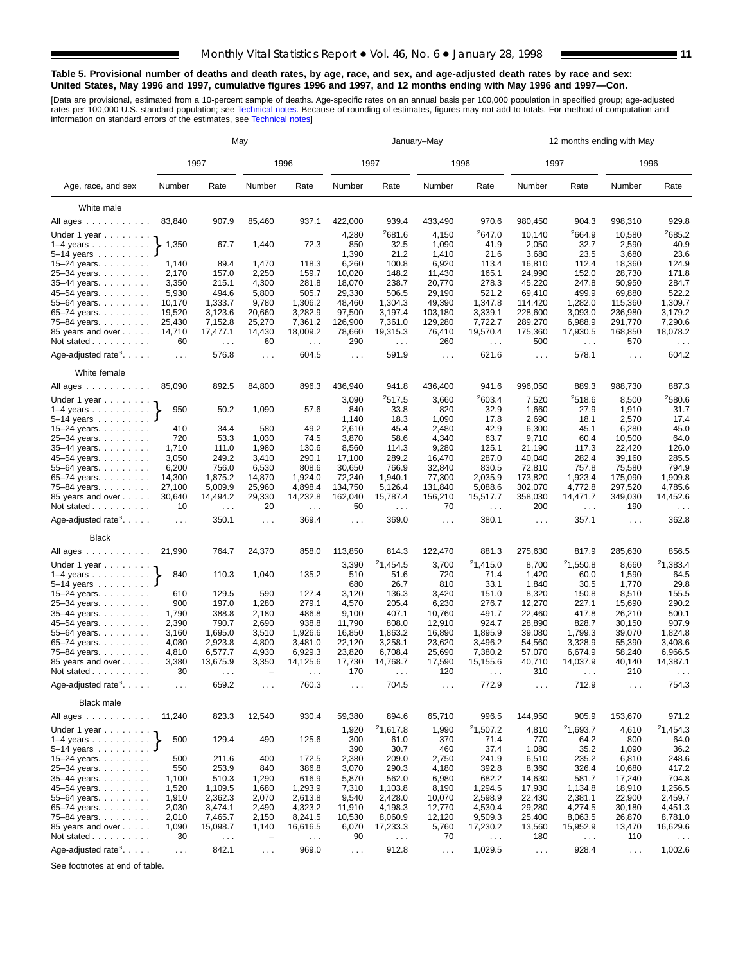#### **Table 5. Provisional number of deaths and death rates, by age, race, and sex, and age-adjusted death rates by race and sex: United States, May 1996 and 1997, cumulative figures 1996 and 1997, and 12 months ending with May 1996 and 1997—Con.**

[Data are provisional, estimated from a 10-percent sample of deaths. Age-specific rates on an annual basis per 100,000 population in specified group; age-adjusted<br>rates per 100,000 U.S. standard population; see Technical n

|                                             | May                  |                           |                          |                                  |                      |                      | January-May      |                                  | 12 months ending with May   |                      |                      |                                  |  |  |
|---------------------------------------------|----------------------|---------------------------|--------------------------|----------------------------------|----------------------|----------------------|------------------|----------------------------------|-----------------------------|----------------------|----------------------|----------------------------------|--|--|
|                                             |                      | 1997                      |                          | 1996                             |                      | 1997                 |                  | 1996                             |                             | 1997                 |                      | 1996                             |  |  |
| Age, race, and sex                          | Number               | Rate                      | Number                   | Rate                             | Number               | Rate                 | Number           | Rate                             | Number                      | Rate                 | Number               | Rate                             |  |  |
| White male                                  |                      |                           |                          |                                  |                      |                      |                  |                                  |                             |                      |                      |                                  |  |  |
| All ages                                    | 83,840               | 907.9                     | 85,460                   | 937.1                            | 422,000              | 939.4                | 433,490          | 970.6                            | 980,450                     | 904.3                | 998,310              | 929.8                            |  |  |
|                                             |                      |                           |                          |                                  | 4,280                | <sup>2</sup> 681.6   | 4,150            | 2647.0                           | 10,140                      | ${}^{2}664.9$        | 10,580               | 2685.2                           |  |  |
| Under 1 year<br>$1-4$ years                 | 1,350                | 67.7                      | 1,440                    | 72.3                             | 850                  | 32.5                 | 1,090            | 41.9                             | 2,050                       | 32.7                 | 2,590                | 40.9                             |  |  |
| $5 - 14$ years $\ldots$                     |                      |                           |                          |                                  | 1,390                | 21.2                 | 1,410            | 21.6                             | 3,680                       | 23.5                 | 3,680                | 23.6                             |  |  |
| 15-24 years. $\ldots$                       | 1,140                | 89.4                      | 1,470                    | 118.3                            | 6,260                | 100.8                | 6,920            | 113.4                            | 16,810                      | 112.4                | 18,360               | 124.9                            |  |  |
| 25-34 years.                                | 2,170                | 157.0                     | 2,250                    | 159.7                            | 10,020               | 148.2                | 11,430           | 165.1                            | 24,990                      | 152.0                | 28,730               | 171.8                            |  |  |
| 35-44 years.                                | 3,350                | 215.1                     | 4,300                    | 281.8                            | 18,070               | 238.7                | 20,770           | 278.3                            | 45,220                      | 247.8                | 50,950               | 284.7                            |  |  |
| 45-54 years.                                | 5,930                | 494.6                     | 5,800                    | 505.7                            | 29,330               | 506.5                | 29,190           | 521.2                            | 69,410                      | 499.9                | 69,880               | 522.2                            |  |  |
| 55-64 years.                                | 10,170               | 1,333.7                   | 9,780                    | 1,306.2                          | 48,460               | 1,304.3              | 49,390           | 1,347.8                          | 114,420                     | 1,282.0              | 115,360              | 1,309.7                          |  |  |
| 65-74 years.                                | 19,520               | 3,123.6                   | 20,660                   | 3,282.9                          | 97,500               | 3,197.4              | 103,180          | 3,339.1                          | 228,600                     | 3,093.0              | 236,980              | 3,179.2                          |  |  |
| 75-84 years.                                | 25,430               | 7,152.8                   | 25,270                   | 7,361.2                          | 126,900              | 7,361.0              | 129,280          | 7,722.7                          | 289,270                     | 6,988.9              | 291,770              | 7,290.6                          |  |  |
| 85 years and over                           | 14,710               | 17,477.1                  | 14,430                   | 18,009.2                         | 78,660               | 19,315.3             | 76,410           | 19,570.4                         | 175,360                     | 17,930.5             | 168,850              | 18,078.2                         |  |  |
| Not stated                                  | 60                   | $\sim$ $\sim$             | 60                       | $\sim$ $\sim$                    | 290                  | $\sim$ $\sim$        | 260              | $\sim 100$                       | 500                         | $\cdots$             | 570                  | $\sim$ $\sim$ $\sim$             |  |  |
| Age-adjusted rate <sup>3</sup> . $\ldots$ . | $\sim$ $\sim$ $\sim$ | 576.8                     | $\sim 100$               | 604.5                            | $\sim$ $\sim$ $\sim$ | 591.9                | $\sim 100$       | 621.6                            | $\sim$ $\sim$ $\sim$        | 578.1                | $\sim 100$           | 604.2                            |  |  |
| White female                                |                      |                           |                          |                                  |                      |                      |                  |                                  |                             |                      |                      |                                  |  |  |
| All ages $\ldots$ $\ldots$ $\ldots$ .       | 85,090               | 892.5                     | 84,800                   | 896.3                            | 436,940              | 941.8                | 436,400          | 941.6                            | 996,050                     | 889.3                | 988,730              | 887.3                            |  |  |
| Under 1 year $\ldots$                       |                      |                           |                          |                                  | 3,090                | 2517.5               | 3,660            | 2603.4                           | 7,520                       | 2518.6               | 8,500                | <sup>2</sup> 580.6               |  |  |
| $1-4$ years                                 | 950                  | 50.2                      | 1,090                    | 57.6                             | 840                  | 33.8                 | 820              | 32.9                             | 1,660                       | 27.9                 | 1,910                | 31.7                             |  |  |
| $5-14$ years $\ldots$ $\ldots$ .            |                      |                           |                          |                                  | 1,140                | 18.3                 | 1,090            | 17.8                             | 2,690                       | 18.1                 | 2,570                | 17.4                             |  |  |
| 15-24 years.                                | 410                  | 34.4                      | 580                      | 49.2                             | 2,610                | 45.4                 | 2,480            | 42.9                             | 6,300                       | 45.1                 | 6,280                | 45.0                             |  |  |
| 25-34 years.                                | 720                  | 53.3                      | 1,030                    | 74.5                             | 3,870                | 58.6                 | 4,340            | 63.7                             | 9,710                       | 60.4                 | 10,500               | 64.0                             |  |  |
| $35 - 44$ years.                            | 1,710                | 111.0                     | 1,980                    | 130.6                            | 8,560                | 114.3                | 9,280            | 125.1                            | 21.190                      | 117.3                | 22,420               | 126.0<br>285.5                   |  |  |
| 45–54 years.<br>55-64 years.                | 3,050<br>6,200       | 249.2<br>756.0            | 3,410<br>6,530           | 290.1<br>808.6                   | 17,100<br>30,650     | 289.2<br>766.9       | 16,470<br>32,840 | 287.0<br>830.5                   | 40,040<br>72,810            | 282.4<br>757.8       | 39,160<br>75,580     | 794.9                            |  |  |
| 65-74 years.                                | 14,300               | 1,875.2                   | 14,870                   | 1,924.0                          | 72,240               | 1,940.1              | 77,300           | 2.035.9                          | 173,820                     | 1.923.4              | 175,090              | 1,909.8                          |  |  |
| 75-84 years.                                | 27,100               | 5,009.9                   | 25,960                   | 4,898.4                          | 134,750              | 5,126.4              | 131,840          | 5,088.6                          | 302,070                     | 4,772.8              | 297,520              | 4,785.6                          |  |  |
| 85 years and over<br>Not stated             | 30,640<br>10         | 14,494.2<br>$\sim$ $\sim$ | 29,330<br>20             | 14,232.8<br>$\sim$ $\sim$ $\sim$ | 162,040<br>50        | 15,787.4<br>$\sim$ . | 156,210<br>70    | 15,517.7<br>$\sim$ $\sim$ $\sim$ | 358,030<br>200              | 14,471.7<br>$\sim$ . | 349,030<br>190       | 14,452.6<br>$\sim$ $\sim$ $\sim$ |  |  |
| Age-adjusted rate <sup>3</sup> .            | $\sim$ $\sim$ $\sim$ | 350.1                     | $\sim 100$               | 369.4                            | $\cdots$             | 369.0                | $\cdots$         | 380.1                            | $\sim 10$                   | 357.1                | $\sim$ $\sim$ $\sim$ | 362.8                            |  |  |
| <b>Black</b>                                |                      |                           |                          |                                  |                      |                      |                  |                                  |                             |                      |                      |                                  |  |  |
| All ages                                    | 21,990               | 764.7                     | 24,370                   | 858.0                            | 113,850              | 814.3                | 122,470          | 881.3                            | 275,630                     | 817.9                | 285,630              | 856.5                            |  |  |
| Under 1 year                                |                      |                           |                          |                                  | 3,390                | <sup>2</sup> 1,454.5 | 3,700            | 21,415.0                         | 8,700                       | 21,550.8             | 8,660                | 21,383.4                         |  |  |
| $1-4$ years $\ldots$ $\ldots$ $\ldots$      | 840                  | 110.3                     | 1,040                    | 135.2                            | 510                  | 51.6                 | 720              | 71.4                             | 1,420                       | 60.0                 | 1,590                | 64.5                             |  |  |
| $5-14$ years                                |                      |                           |                          |                                  | 680                  | 26.7                 | 810              | 33.1                             | 1,840                       | 30.5                 | 1,770                | 29.8                             |  |  |
| 15-24 years.                                | 610<br>900           | 129.5                     | 590                      | 127.4                            | 3,120                | 136.3                | 3,420            | 151.0                            | 8,320                       | 150.8                | 8,510                | 155.5<br>290.2                   |  |  |
| 25-34 years.<br>35-44 years.                | 1,790                | 197.0<br>388.8            | 1,280<br>2,180           | 279.1<br>486.8                   | 4,570<br>9,100       | 205.4<br>407.1       | 6,230<br>10,760  | 276.7<br>491.7                   | 12,270<br>22,460            | 227.1<br>417.8       | 15,690<br>26,210     | 500.1                            |  |  |
| 45-54 years.                                | 2,390                | 790.7                     | 2,690                    | 938.8                            | 11,790               | 808.0                | 12,910           | 924.7                            | 28,890                      | 828.7                | 30,150               | 907.9                            |  |  |
| 55-64 years.                                | 3,160                | 1,695.0                   | 3,510                    | 1,926.6                          | 16,850               | 1,863.2              | 16,890           | 1,895.9                          | 39,080                      | 1,799.3              | 39,070               | 1,824.8                          |  |  |
| 65-74 years.                                | 4,080                | 2,923.8                   | 4,800                    | 3,481.0                          | 22,120               | 3,258.1              | 23,620           | 3,496.2                          | 54,560                      | 3,328.9              | 55,390               | 3,408.6                          |  |  |
| 75-84 years.                                | 4,810                | 6,577.7                   | 4,930                    | 6,929.3                          | 23,820               | 6,708.4              | 25,690           | 7,380.2                          | 57,070                      | 6,674.9              | 58,240               | 6,966.5                          |  |  |
| 85 years and over                           | 3,380                | 13,675.9                  | 3,350                    | 14,125.6                         | 17,730               | 14,768.7             | 17,590           | 15,155.6                         | 40,710                      | 14,037.9             | 40,140               | 14,387.1                         |  |  |
| Not stated $\ldots$                         | 30                   |                           |                          |                                  | 170                  |                      | 120              |                                  | 310                         |                      | 210                  |                                  |  |  |
| Age-adjusted rate <sup>3</sup> .            | $\sim$ $\sim$        | 659.2                     | $\sim$ $\sim$            | 760.3                            | $\sim$ .             | 704.5                | $\sim$ $\sim$    | 772.9                            | $\sim$                      | 712.9                | $\sim$ $\sim$ $\sim$ | 754.3                            |  |  |
| <b>Black male</b>                           |                      |                           |                          |                                  |                      |                      |                  |                                  |                             |                      |                      |                                  |  |  |
| All ages                                    | 11,240               | 823.3                     | 12,540                   | 930.4                            | 59,380               | 894.6                | 65,710           | 996.5                            | 144,950                     | 905.9                | 153,670              | 971.2                            |  |  |
| Under 1 year                                |                      |                           |                          |                                  | 1,920                | 21,617.8             | 1,990            | 21,507.2                         | 4,810                       | 21,693.7             | 4,610                | 21,454.3                         |  |  |
| $1-4$ years                                 | 500                  | 129.4                     | 490                      | 125.6                            | 300                  | 61.0                 | 370              | 71.4                             | 770                         | 64.2                 | 800                  | 64.0                             |  |  |
| 5–14 years $\dots \dots$                    |                      |                           |                          |                                  | 390                  | 30.7                 | 460              | 37.4                             | 1,080                       | 35.2                 | 1,090                | 36.2                             |  |  |
| 15–24 years. $\ldots$                       | 500                  | 211.6                     | 400                      | 172.5                            | 2,380                | 209.0                | 2,750            | 241.9                            | 6,510                       | 235.2                | 6,810                | 248.6                            |  |  |
| 25-34 years.                                | 550                  | 253.9                     | 840                      | 386.8                            | 3,070                | 290.3                | 4,180            | 392.8                            | 8,360                       | 326.4                | 10,680               | 417.2                            |  |  |
| 35-44 years.                                | 1,100                | 510.3                     | 1,290                    | 616.9                            | 5,870                | 562.0                | 6,980            | 682.2                            | 14,630                      | 581.7                | 17,240               | 704.8                            |  |  |
| 45-54 years.                                | 1,520                | 1,109.5                   | 1,680                    | 1,293.9                          | 7,310                | 1,103.8              | 8,190            | 1,294.5                          | 17,930                      | 1,134.8              | 18,910               | 1,256.5                          |  |  |
| 55-64 years.                                | 1,910<br>2,030       | 2,362.3<br>3,474.1        | 2,070<br>2,490           | 2,613.8<br>4,323.2               | 9,540<br>11,910      | 2,428.0<br>4,198.3   | 10,070<br>12,770 | 2,598.9<br>4,530.4               | 22,430<br>29,280            | 2,381.1<br>4,274.5   | 22,900<br>30,180     | 2,459.7<br>4,451.3               |  |  |
| 65-74 years.<br>75-84 years.                | 2,010                | 7,465.7                   | 2,150                    | 8,241.5                          | 10,530               | 8,060.9              | 12,120           | 9,509.3                          | 25,400                      | 8,063.5              | 26,870               | 8,781.0                          |  |  |
| 85 years and over                           | 1,090                | 15,098.7                  | 1,140                    | 16,616.5                         | 6,070                | 17,233.3             | 5,760            | 17,230.2                         | 13,560                      | 15,952.9             | 13,470               | 16,629.6                         |  |  |
| Not stated                                  | 30                   | $\sim$ $\sim$ $\sim$      | $\overline{\phantom{0}}$ | $\sim$ $\sim$                    | 90                   | $\sim$ .             | 70               | $\sim$ $\sim$                    | 180                         | $\sim$ .             | 110                  |                                  |  |  |
|                                             |                      |                           |                          |                                  |                      |                      |                  |                                  |                             |                      |                      |                                  |  |  |
| Age-adjusted rate <sup>3</sup> . $\ldots$ . | $\sim$ $\sim$        | 842.1                     | $\sim 100$               | 969.0                            | $\sim$               | 912.8                | $\sim$ $\sim$    | 1,029.5                          | $\mathcal{L}^{\mathcal{L}}$ | 928.4                | $\sim$ $\sim$        | 1,002.6                          |  |  |

See footnotes at end of table.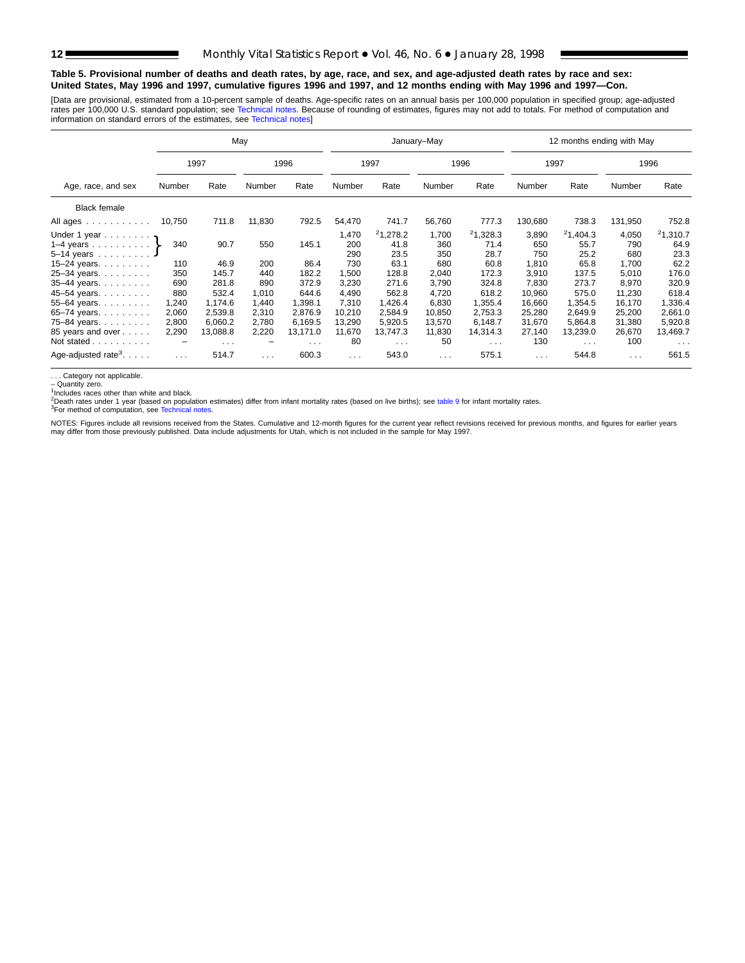#### **Table 5. Provisional number of deaths and death rates, by age, race, and sex, and age-adjusted death rates by race and sex: United States, May 1996 and 1997, cumulative figures 1996 and 1997, and 12 months ending with May 1996 and 1997—Con.**

[Data are provisional, estimated from a 10-pe[rcent sample of deaths. Ag](#page-16-0)e-specific rates on an annual basis per 100,000 population in specified group; age-adjusted rates per 100,000 U.S. standard population; see Technical notes. Because of rounding of estimates, figures may not add to totals. For method of computation and<br>information on standard errors of the estimates, see Technical

|                                                    |          |          | May                      |          |            |              | January-May          |              |                      | 12 months ending with May |                      |              |
|----------------------------------------------------|----------|----------|--------------------------|----------|------------|--------------|----------------------|--------------|----------------------|---------------------------|----------------------|--------------|
|                                                    |          | 1997     |                          | 1996     |            | 1997         |                      | 1996         | 1997                 |                           |                      | 1996         |
| Age, race, and sex                                 | Number   | Rate     | Number                   | Rate     | Number     | Rate         | Number               | Rate         | Number               | Rate                      | Number               | Rate         |
| <b>Black female</b>                                |          |          |                          |          |            |              |                      |              |                      |                           |                      |              |
| All ages                                           | 10,750   | 711.8    | 11,830                   | 792.5    | 54,470     | 741.7        | 56,760               | 777.3        | 130,680              | 738.3                     | 131,950              | 752.8        |
| Under 1 year $\eta$                                |          |          |                          |          | 1,470      | 21,278.2     | 1,700                | 21,328.3     | 3,890                | 21,404.3                  | 4,050                | 21,310.7     |
| 1–4 years $\ldots$ $\ldots$ $\}$<br>$5 - 14$ years | 340      | 90.7     | 550                      | 145.1    | 200<br>290 | 41.8<br>23.5 | 360<br>350           | 71.4<br>28.7 | 650<br>750           | 55.7<br>25.2              | 790<br>680           | 64.9<br>23.3 |
| 15-24 years. $\ldots$                              | 110      | 46.9     | 200                      | 86.4     | 730        | 63.1         | 680                  | 60.8         | 1,810                | 65.8                      | 1,700                | 62.2         |
| 25-34 years.                                       | 350      | 145.7    | 440                      | 182.2    | 1,500      | 128.8        | 2,040                | 172.3        | 3,910                | 137.5                     | 5,010                | 176.0        |
| 35-44 years.                                       | 690      | 281.8    | 890                      | 372.9    | 3,230      | 271.6        | 3,790                | 324.8        | 7,830                | 273.7                     | 8,970                | 320.9        |
| 45-54 years.                                       | 880      | 532.4    | 1,010                    | 644.6    | 4,490      | 562.8        | 4,720                | 618.2        | 10,960               | 575.0                     | 11,230               | 618.4        |
| 55-64 years.                                       | 1,240    | 1,174.6  | 1,440                    | 1,398.1  | 7,310      | 1,426.4      | 6,830                | 1,355.4      | 16,660               | 1,354.5                   | 16,170               | 1,336.4      |
| 65-74 years.                                       | 2,060    | 2,539.8  | 2,310                    | 2,876.9  | 10,210     | 2,584.9      | 10,850               | 2,753.3      | 25,280               | 2,649.9                   | 25,200               | 2,661.0      |
| 75-84 years.                                       | 2,800    | 6,060.2  | 2,780                    | 6,169.5  | 13,290     | 5,920.5      | 13,570               | 6,148.7      | 31,670               | 5.864.8                   | 31,380               | 5,920.8      |
| 85 years and over                                  | 2,290    | 13,088.8 | 2,220                    | 13,171.0 | 11,670     | 13,747.3     | 11,830               | 14,314.3     | 27,140               | 13,239.0                  | 26,670               | 13,469.7     |
| Not stated                                         | -        | $\cdots$ | $\overline{\phantom{0}}$ | $\cdots$ | 80         | $\cdots$     | 50                   | $\cdots$     | 130                  | $\cdots$                  | 100                  | $\cdots$     |
| Age-adjusted rate <sup>3</sup> . $\ldots$ .        | $\cdots$ | 514.7    | $\sim 100$               | 600.3    | $\cdots$   | 543.0        | $\sim$ $\sim$ $\sim$ | 575.1        | $\sim$ $\sim$ $\sim$ | 544.8                     | $\sim$ $\sim$ $\sim$ | 561.5        |

. . . Category not applicable. – Quantity zero.

1Includes races other than white and black.

<sup>2</sup>Death rates under 1 year ([based on population estimate](#page-16-0)s) differ from infant mortality rates (based on live births); see table 9 for infant mortality rates.<br><sup>3</sup>For method of computation, see Technical notes.

NOTES: Figures include all revisions received from the States. Cumulative and 12-month figures for the current ye[ar](#page-15-0) [reflect](#page-15-0) [revisio](#page-15-0)ns received for previous months, and figures for earlier years<br>may differ from those previo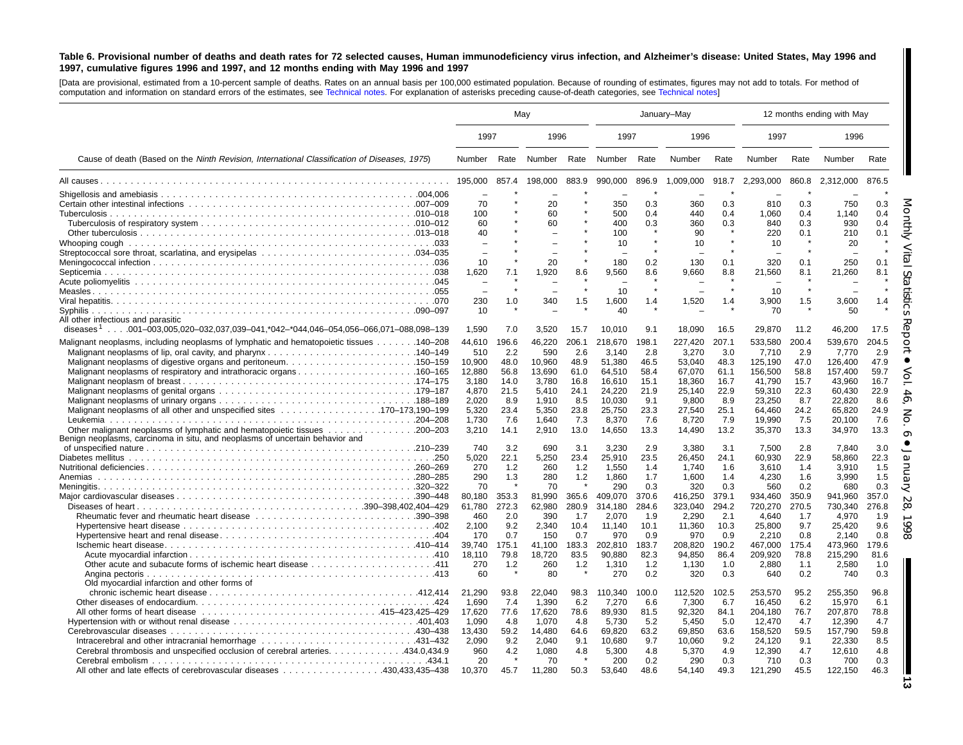#### <span id="page-12-0"></span>Table 6. Provisional number of deaths and death rates for 72 selected causes, Human immunodeficiency virus infection, and Alzheimer's disease: United States, May 1996 and 1997, cumulative figures 1996 and 1997, and 12 months ending with May 1996 and 1997

[Data are provisional, estimated from <sup>a</sup> 10-percent sample of deaths. Rates on an annual basis per 100,000 estimated population. Because of rounding of [estimates,](#page-16-0) figures may not add to totals. For method of computation and information on standard errors of the estimates, see [Technical](#page-16-0) notes. For explanation of asterisks preceding cause-of-death categories, see Technical notes]

|                                                                                                                                                                  |                                   | Mav                 |                                   |                      | January-May                  |                      |                           |                      |                             |                     | 12 months ending with May   |                     |
|------------------------------------------------------------------------------------------------------------------------------------------------------------------|-----------------------------------|---------------------|-----------------------------------|----------------------|------------------------------|----------------------|---------------------------|----------------------|-----------------------------|---------------------|-----------------------------|---------------------|
|                                                                                                                                                                  | 1997                              |                     | 1996                              |                      | 1997                         |                      | 1996                      |                      | 1997                        |                     | 1996                        |                     |
| Cause of death (Based on the Ninth Revision, International Classification of Diseases, 1975)                                                                     | Number                            |                     |                                   |                      | Rate Number Rate Number Rate |                      | <b>Number</b>             | Rate                 | Number                      | Rate                | Number                      | Rate                |
|                                                                                                                                                                  | 195.000                           | 857.4               | 198.000                           | 883.9                | 990.000                      | 896.9                | 1,009,000                 | 918.7                | 2.293.000                   | 860.8               | 2.312.000                   | 876.5               |
|                                                                                                                                                                  | 70                                |                     | 20                                |                      | 350                          | 0.3                  | 360                       | 0.3                  | 810                         | 0.3                 | 750                         | 0.3                 |
|                                                                                                                                                                  | 100<br>60<br>40                   |                     | 60<br>60                          |                      | 500<br>400<br>100            | 0.4<br>0.3           | 440<br>360<br>90          | 0.4<br>0.3           | 1,060<br>840<br>220         | 0.4<br>0.3<br>0.1   | 1,140<br>930<br>210         | 0.4<br>0.4<br>0.1   |
|                                                                                                                                                                  | 10                                |                     | 20                                |                      | 10<br>180                    | 0.2                  | 10<br>130                 | 0.1                  | 10<br>320                   | 0.1                 | 20<br>250                   | 0.1                 |
|                                                                                                                                                                  | 1,620<br>$\overline{\phantom{0}}$ | 7.1                 | 1.920<br>$\overline{\phantom{0}}$ | 8.6                  | 9.560<br>10                  | 8.6                  | 9.660                     | 8.8                  | 21,560<br>10                | 8.1                 | 21,260                      | 8.1                 |
| All other infectious and parasitic                                                                                                                               | 230<br>10                         | 1.0                 | 340                               | 1.5                  | 1,600<br>40                  | 1.4                  | 1,520                     | 1.4                  | 3,900<br>70                 | 1.5                 | 3,600<br>50                 | 1.4                 |
| diseases <sup>1</sup> 001–003,005,020–032,037,039–041,*042–*044,046–054,056–066,071–088,098–139                                                                  | 1,590                             | 7.0                 | 3,520                             | 15.7                 | 10,010                       | 9.1                  | 18,090                    | 16.5                 | 29,870                      | 11.2                | 46,200                      | 17.5                |
| Malignant neoplasms, including neoplasms of lymphatic and hematopoietic tissues 140–208                                                                          | 44,610<br>510                     | 196.6<br>2.2        | 46,220<br>590                     | 206.1<br>2.6         | 218,670<br>3.140             | 198.1<br>2.8         | 227,420<br>3,270          | 207.1<br>3.0         | 533,580<br>7,710            | 200.4<br>2.9        | 539,670<br>7.770            | 204.5<br>2.9        |
| Malignant neoplasms of digestive organs and peritoneum150–159<br>Malignant neoplasms of respiratory and intrathoracic organs160–165                              | 10.900<br>12,880                  | 48.0<br>56.8        | 10.960<br>13,690                  | 48.9<br>61.0         | 51.380<br>64,510             | 46.5<br>58.4         | 53.040<br>67.070          | 48.3<br>61.1         | 125.190<br>156,500          | 47.0<br>58.8        | 126.400<br>157.400          | 47.9<br>59.7        |
|                                                                                                                                                                  | 3.180<br>4,870<br>2.020           | 14.0<br>21.5<br>8.9 | 3.780<br>5.410<br>1.910           | 16.8<br>24.1<br>8.5  | 16.610<br>24,220<br>10.030   | 15.1<br>21.9<br>9.1  | 18.360<br>25,140<br>9.800 | 16.7<br>22.9<br>8.9  | 41.790<br>59,310<br>23,250  | 15.7<br>22.3<br>8.7 | 43.960<br>60.430<br>22.820  | 16.7<br>22.9<br>8.6 |
|                                                                                                                                                                  | 5,320<br>1,730                    | 23.4<br>7.6         | 5,350<br>1,640                    | 23.8<br>7.3          | 25,750<br>8,370              | 23.3<br>7.6          | 27,540<br>8,720           | 25.1<br>7.9          | 64,460<br>19,990            | 24.2<br>7.5         | 65,820<br>20,100            | 24.9<br>7.6         |
| Benign neoplasms, carcinoma in situ, and neoplasms of uncertain behavior and                                                                                     | 3,210<br>740                      | 14.1<br>3.2         | 2,910<br>690                      | 13.0<br>3.1          | 14,650<br>3,230              | 13.3<br>2.9          | 14,490<br>3,380           | 13.2<br>3.1          | 35,370<br>7,500             | 13.3<br>2.8         | 34,970<br>7,840             | 13.3<br>3.0         |
|                                                                                                                                                                  | 5,020<br>270                      | 22.1<br>1.2         | 5,250<br>260                      | 23.4<br>1.2          | 25,910<br>1,550              | 23.5<br>1.4          | 26,450<br>1,740           | 24.1<br>1.6          | 60,930<br>3,610             | 22.9<br>1.4         | 58,860<br>3,910             | 22.3<br>1.5         |
|                                                                                                                                                                  | 290<br>70<br>80.180               | 1.3<br>353.3        | 280<br>70<br>81.990               | 1.2<br>365.6         | 1,860<br>290<br>409,070      | 1.7<br>0.3<br>370.6  | 1,600<br>320<br>416,250   | 1.4<br>0.3<br>379.1  | 4,230<br>560<br>934,460     | 1.6<br>0.2<br>350.9 | 3.990<br>680<br>941,960     | 1.5<br>0.3<br>357.0 |
|                                                                                                                                                                  | 61,780<br>460                     | 272.3<br>2.0        | 62,980<br>390                     | 280.9<br>1.7         | 314,180<br>2,070             | 284.6<br>1.9         | 323,040<br>2,290          | 294.2<br>2.1         | 720,270<br>4,640            | 270.5<br>1.7        | 730,340<br>4,970            | 276.8<br>1.9        |
|                                                                                                                                                                  | 2,100<br>170<br>39,740            | 9.2<br>0.7<br>175.1 | 2,340<br>150<br>41.100            | 10.4<br>0.7<br>183.3 | 11,140<br>970<br>202,810     | 10.1<br>0.9<br>183.7 | 11,360<br>970<br>208,820  | 10.3<br>0.9<br>190.2 | 25,800<br>2,210<br>467,000  | 9.7<br>0.8<br>175.4 | 25,420<br>2.140<br>473,960  | 9.6<br>0.8<br>179.6 |
|                                                                                                                                                                  | 18,110<br>270<br>60               | 79.8<br>1.2         | 18,720<br>260<br>80               | 83.5<br>1.2          | 90.880<br>1,310<br>270       | 82.3<br>1.2<br>0.2   | 94,850<br>1,130<br>320    | 86.4<br>1.0<br>0.3   | 209,920<br>2,880<br>640     | 78.8<br>1.1<br>0.2  | 215,290<br>2,580<br>740     | 81.6<br>1.0<br>0.3  |
| Old myocardial infarction and other forms of                                                                                                                     | 21.290<br>1.690                   | 93.8<br>7.4         | 22.040<br>1.390                   | 98.3<br>6.2          | 110,340<br>7.270             | 100.0<br>6.6         | 112.520<br>7,300          | 102.5<br>6.7         | 253.570<br>16.450           | 95.2<br>6.2         | 255.350<br>15.970           | 96.8<br>6.1         |
|                                                                                                                                                                  | 17,620<br>1,090                   | 77.6<br>4.8         | 17,620<br>1,070                   | 78.6<br>4.8          | 89,930<br>5,730              | 81.5<br>5.2          | 92,320<br>5,450           | 84.1<br>5.0          | 204,180<br>12,470           | 76.7<br>4.7         | 207,870<br>12,390           | 78.8<br>4.7         |
|                                                                                                                                                                  | 13,430<br>2,090<br>960            | 59.2<br>9.2<br>4.2  | 14,480<br>2,040<br>1,080          | 64.6<br>9.1<br>4.8   | 69,820<br>10,680<br>5,300    | 63.2<br>9.7<br>4.8   | 69,850<br>10,060<br>5,370 | 63.6<br>9.2<br>4.9   | 158,520<br>24,120<br>12,390 | 59.5<br>9.1<br>4.7  | 157,790<br>22,330<br>12,610 | 59.8<br>8.5<br>4.8  |
| 434.0,434.9. Cerebral thrombosis and unspecified occlusion of cerebral arteries. 434.0<br>All other and late effects of cerebrovascular diseases 430,433,435–438 | 20<br>10,370                      | 45.7                | 70<br>11,280                      | 50.3                 | 200<br>53,640                | 0.2<br>48.6          | 290<br>54,140             | 0.3<br>49.3          | 710<br>121,290              | 0.3<br>45.5         | 700<br>122,150              | 0.3<br>46.3         |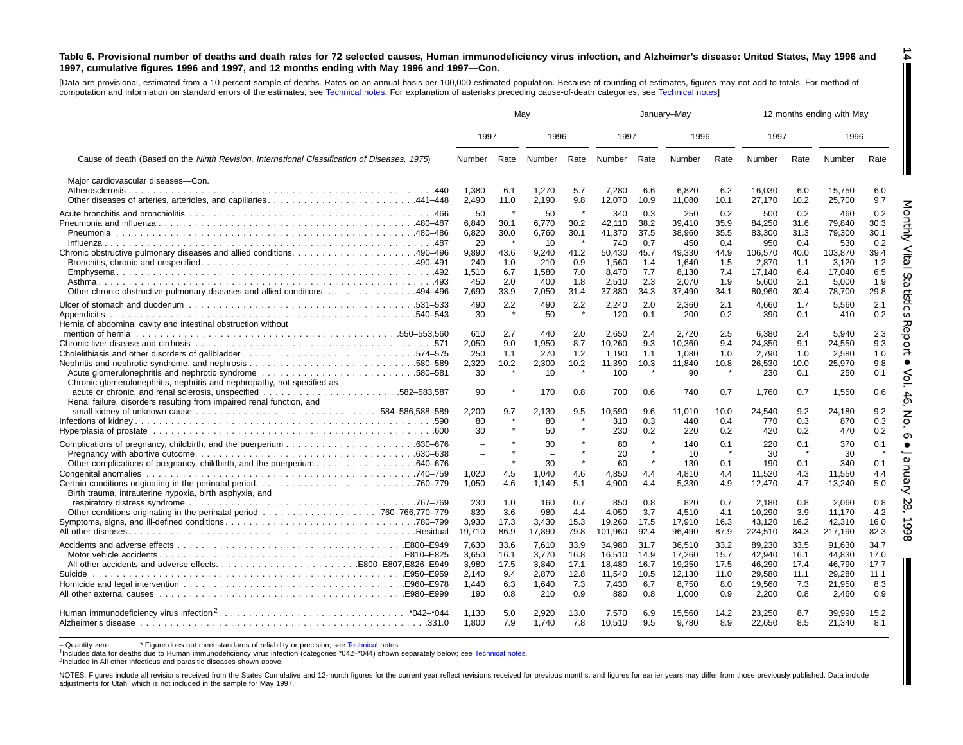#### Table 6. Provisional number of deaths and death rates for 72 selected causes, Human immunodeficiency virus infection, and Alzheimer's disease: United States, May 1996 and 1997, cumulative figures 1996 and 1997, and 12 months ending with May 1996 and 1997-Con.

[Data are provisional, estimated from <sup>a</sup> 10-percent sample of deaths. Rates on an annual basis per 100,000 estimated population. Because of rounding of [estimates,](#page-16-0) figures may not add to totals. For method of computation and information on standard errors of the estimates, see [Technical](#page-16-0) notes. For explanation of asterisks preceding cause-of-death categories, see Technical notes]

|                                                                                                                                          | May                                                                                |                                           |                                                            |                                                            |                                                                     | January-May                                             |                                                                     |                                                         |                                                                       |                                                         | 12 months ending with May                                             |                                                         |
|------------------------------------------------------------------------------------------------------------------------------------------|------------------------------------------------------------------------------------|-------------------------------------------|------------------------------------------------------------|------------------------------------------------------------|---------------------------------------------------------------------|---------------------------------------------------------|---------------------------------------------------------------------|---------------------------------------------------------|-----------------------------------------------------------------------|---------------------------------------------------------|-----------------------------------------------------------------------|---------------------------------------------------------|
|                                                                                                                                          | 1997                                                                               |                                           | 1996                                                       |                                                            | 1997                                                                |                                                         | 1996                                                                |                                                         | 1997                                                                  |                                                         | 1996                                                                  |                                                         |
| Cause of death (Based on the Ninth Revision, International Classification of Diseases, 1975)                                             | Number                                                                             | Rate                                      | Number                                                     |                                                            | Rate Number                                                         | Rate                                                    | Number                                                              | Rate                                                    | Number                                                                | Rate                                                    | Number                                                                | Rate                                                    |
| Maior cardiovascular diseases-Con.                                                                                                       | 1.380<br>2,490                                                                     | 6.1<br>11.0                               | 1,270<br>2,190                                             | 5.7<br>9.8                                                 | 7.280<br>12,070                                                     | 6.6<br>10.9                                             | 6.820<br>11,080                                                     | 6.2<br>10.1                                             | 16.030<br>27,170                                                      | 6.0<br>10.2                                             | 15,750<br>25,700                                                      | 6.0<br>9.7                                              |
|                                                                                                                                          | 50<br>6,840<br>6,820<br>20<br>9,890<br>240<br>1,510<br>450                         | 30.1<br>30.0<br>43.6<br>1.0<br>6.7<br>2.0 | 50<br>6,770<br>6,760<br>10<br>9.240<br>210<br>1,580<br>400 | 30.2<br>30.1<br>$\rightarrow$<br>41.2<br>0.9<br>7.0<br>1.8 | 340<br>42,110<br>41,370<br>740<br>50.430<br>1,560<br>8.470<br>2,510 | 0.3<br>38.2<br>37.5<br>0.7<br>45.7<br>1.4<br>7.7<br>2.3 | 250<br>39,410<br>38,960<br>450<br>49.330<br>1,640<br>8.130<br>2,070 | 0.2<br>35.9<br>35.5<br>0.4<br>44.9<br>1.5<br>7.4<br>1.9 | 500<br>84,250<br>83,300<br>950<br>106.570<br>2,870<br>17.140<br>5,600 | 0.2<br>31.6<br>31.3<br>0.4<br>40.0<br>1.1<br>6.4<br>2.1 | 460<br>79,840<br>79,300<br>530<br>103.870<br>3,120<br>17.040<br>5,000 | 0.2<br>30.3<br>30.1<br>0.2<br>39.4<br>1.2<br>6.5<br>1.9 |
| Other chronic obstructive pulmonary diseases and allied conditions 494–496                                                               | 7.690<br>490<br>30                                                                 | 33.9<br>2.2                               | 7.050<br>490<br>50                                         | 31.4<br>2.2                                                | 37.880<br>2,240<br>120                                              | 34.3<br>2.0<br>0.1                                      | 37,490<br>2.360<br>200                                              | 34.1<br>2.1<br>0.2                                      | 80,960<br>4.660<br>390                                                | 30.4<br>1.7<br>0.1                                      | 78,700<br>5,560<br>410                                                | 29.8<br>2.1<br>0.2                                      |
| Hernia of abdominal cavity and intestinal obstruction without<br>Chronic glomerulonephritis, nephritis and nephropathy, not specified as | 610<br>2,050<br>250<br>2,320<br>30                                                 | 2.7<br>9.0<br>1.1<br>10.2                 | 440<br>1,950<br>270<br>2,300<br>10                         | 2.0<br>8.7<br>1.2<br>10.2                                  | 2,650<br>10,260<br>1,190<br>11,390<br>100                           | 2.4<br>9.3<br>1.1<br>10.3                               | 2,720<br>10,360<br>1,080<br>11.840<br>90                            | 2.5<br>9.4<br>1.0<br>10.8                               | 6,380<br>24,350<br>2,790<br>26,530<br>230                             | 2.4<br>9.1<br>1.0<br>10.0<br>0.1                        | 5,940<br>24,550<br>2,580<br>25,970<br>250                             | 2.3<br>9.3<br>1.0<br>9.8<br>0.1                         |
| .582–583.587<br>Renal failure, disorders resulting from impaired renal function, and                                                     | 90<br>2,200<br>80<br>30                                                            | 9.7                                       | 170<br>2,130<br>80<br>50                                   | 0.8<br>9.5                                                 | 700<br>10,590<br>310<br>230                                         | 0.6<br>9.6<br>0.3<br>0.2                                | 740<br>11,010<br>440<br>220                                         | 0.7<br>10.0<br>0.4<br>0.2                               | 1.760<br>24,540<br>770<br>420                                         | 0.7<br>9.2<br>0.3<br>0.2                                | 1.550<br>24,180<br>870<br>470                                         | 0.6<br>9.2<br>0.3<br>0.2                                |
|                                                                                                                                          | $\overline{\phantom{a}}$<br>$\equiv$<br>$\overline{\phantom{0}}$<br>1.020<br>1,050 | 4.5<br>4.6                                | 30<br>$\overline{\phantom{0}}$<br>30<br>1.040<br>1,140     | $\star$<br>4.6<br>5.1                                      | 80<br>20<br>60<br>4.850<br>4,900                                    | $\star$<br>4.4<br>4.4                                   | 140<br>10<br>130<br>4.810<br>5,330                                  | 0.1<br>$\star$<br>0.1<br>4.4<br>4.9                     | 220<br>30<br>190<br>11.520<br>12,470                                  | 0.1<br>0.1<br>4.3<br>4.7                                | 370<br>30<br>340<br>11.550<br>13,240                                  | 0.1<br>0.1<br>4.4<br>5.0                                |
| Birth trauma, intrauterine hypoxia, birth asphyxia, and                                                                                  | 230<br>830<br>3,930<br>19,710                                                      | 1.0<br>3.6<br>17.3<br>86.9                | 160<br>980<br>3,430<br>17,890                              | 0.7<br>4.4<br>15.3<br>79.8                                 | 850<br>4.050<br>19,260<br>101,960                                   | 0.8<br>3.7<br>17.5<br>92.4                              | 820<br>4.510<br>17,910<br>96,490                                    | 0.7<br>4.1<br>16.3<br>87.9                              | 2,180<br>10.290<br>43,120<br>224,510                                  | 0.8<br>3.9<br>16.2<br>84.3                              | 2,060<br>11.170<br>42,310<br>217,190                                  | 0.8<br>4.2<br>16.0<br>82.3                              |
|                                                                                                                                          | 7,630<br>3,650<br>3,980<br>2.140<br>1.440<br>190                                   | 33.6<br>16.1<br>17.5<br>9.4<br>6.3<br>0.8 | 7,610<br>3,770<br>3,840<br>2,870<br>1,640<br>210           | 33.9<br>16.8<br>17.1<br>12.8<br>7.3<br>0.9                 | 34,980<br>16,510<br>18,480<br>11,540<br>7.430<br>880                | 31.7<br>14.9<br>16.7<br>10.5<br>6.7<br>0.8              | 36,510<br>17.260<br>19,250<br>12,130<br>8.750<br>1.000              | 33.2<br>15.7<br>17.5<br>11.0<br>8.0<br>0.9              | 89,230<br>42.940<br>46,290<br>29,580<br>19.560<br>2,200               | 33.5<br>16.1<br>17.4<br>11.1<br>7.3<br>0.8              | 91,630<br>44.830<br>46,790<br>29,280<br>21,950<br>2.460               | 34.7<br>17.0<br>17.7<br>11.1<br>8.3<br>0.9              |
|                                                                                                                                          | 1,130<br>1,800                                                                     | 5.0<br>7.9                                | 2,920<br>1,740                                             | 13.0<br>7.8                                                | 7,570<br>10,510                                                     | 6.9<br>9.5                                              | 15,560<br>9,780                                                     | 14.2<br>8.9                                             | 23,250<br>22.650                                                      | 8.7<br>8.5                                              | 39,990<br>21,340                                                      | 15.2<br>8.1                                             |

- Quantity zero. \* Figure does not meet standards of reliability or precision; see Technical notes.

<sup>1</sup>Includes data for deaths due to Human immunodeficiency virus infection (categories [\\*042–\\*044\)](#page-16-0) shown separately below; see [Technical](#page-16-0) notes.

2Included in All other infectious and parasitic diseases shown above.

NOTES: Figures include all revisions received from the States Cumulative and 12-month figures for the current year reflect revisions received for previous months, and figures for earlier years may differ from those previou adjustments for Utah, which is not included in the sample for May 1997.

**14** H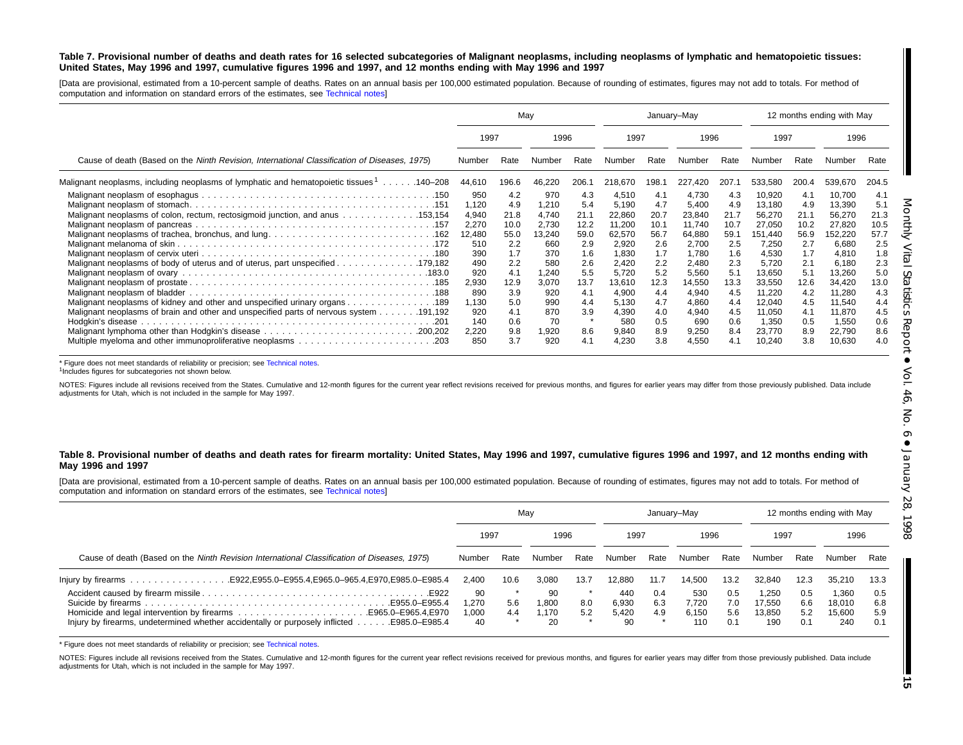#### Table 7. Provisional number of deaths and death rates for 16 selected subcategories of Malignant neoplasms, including neoplasms of lymphatic and hematopoietic tissues: United States, May 1996 and 1997, cumulative figures 1996 and 1997, and 12 months ending with May 1996 and 1997

[Data are provisional, estimated from <sup>a</sup> 10-percent sample of deaths. Rates on an annual basis per 100,000 estimated population. Because of rounding of estimates, figures may not add to totals. For method of computation and information on standard errors of the estimates, see [Technical](#page-16-0) notes]

|                                                                                              |                                                                      | Mav                                                            |                                                                        |                                                                | January-May                                                                      |                                                                |                                                                                  |                                                                |                                                                                      | 12 months ending with May                                      |                                                                                      |                                                                |
|----------------------------------------------------------------------------------------------|----------------------------------------------------------------------|----------------------------------------------------------------|------------------------------------------------------------------------|----------------------------------------------------------------|----------------------------------------------------------------------------------|----------------------------------------------------------------|----------------------------------------------------------------------------------|----------------------------------------------------------------|--------------------------------------------------------------------------------------|----------------------------------------------------------------|--------------------------------------------------------------------------------------|----------------------------------------------------------------|
|                                                                                              | 1997                                                                 |                                                                | 1996                                                                   |                                                                | 1997                                                                             |                                                                | 1996                                                                             |                                                                | 1997                                                                                 |                                                                | 1996                                                                                 |                                                                |
| Cause of death (Based on the Ninth Revision, International Classification of Diseases, 1975) | Number                                                               | Rate                                                           |                                                                        | Rate                                                           | Number                                                                           | Rate                                                           | Number                                                                           | Rate                                                           | Number                                                                               | Rate                                                           | Number                                                                               | Rate                                                           |
| Malignant neoplasms, including neoplasms of lymphatic and hematopoietic tissues 1140–208     | 44,610                                                               | 196.6                                                          | 46,220                                                                 | 206.7                                                          | 218,670                                                                          | 198.1                                                          | 227,420                                                                          | 207.7                                                          | 533,580                                                                              | 200.4                                                          | 539,670                                                                              | 204.5                                                          |
| Malignant neoplasms of colon, rectum, rectosigmoid junction, and anus 153,154                | 950<br>1.120<br>4,940<br>2,270<br>12,480<br>510<br>390<br>490<br>920 | 4.2<br>4.9<br>21.8<br>10.0<br>55.0<br>2.2<br>1.7<br>2.2<br>4.1 | 970<br>1,210<br>4,740<br>2,730<br>13,240<br>660<br>370<br>580<br>1,240 | 4.3<br>5.4<br>21.1<br>12.2<br>59.0<br>2.9<br>1.6<br>2.6<br>5.5 | 4,510<br>5,190<br>22,860<br>11,200<br>62,570<br>2,920<br>1,830<br>2.420<br>5,720 | 4.1<br>4.7<br>20.7<br>10.1<br>56.7<br>2.6<br>1.7<br>2.2<br>5.2 | 4,730<br>5.400<br>23,840<br>11,740<br>64,880<br>2,700<br>1,780<br>2,480<br>5,560 | 4.3<br>4.9<br>21.7<br>10.7<br>59.1<br>2.5<br>1.6<br>2.3<br>5.1 | 10,920<br>13,180<br>56,270<br>27,050<br>151,440<br>7,250<br>4,530<br>5,720<br>13,650 | 4.1<br>4.9<br>21.1<br>10.2<br>56.9<br>2.7<br>1.7<br>2.1<br>5.1 | 10,700<br>13,390<br>56,270<br>27,820<br>152,220<br>6,680<br>4,810<br>6,180<br>13,260 | 4.1<br>5.1<br>21.3<br>10.5<br>57.7<br>2.5<br>1.8<br>2.3<br>5.0 |
| Malignant neoplasms of kidney and other and unspecified urinary organs 189                   | 2,930<br>890<br>1,130<br>920<br>140<br>2,220<br>850                  | 12.9<br>3.9<br>5.0<br>4.1<br>0.6<br>9.8<br>3.7                 | 3,070<br>920<br>990<br>870<br>70<br>1,920<br>920                       | 13.7<br>4.1<br>4.4<br>3.9<br>8.6<br>4.1                        | 13,610<br>4,900<br>5,130<br>4,390<br>580<br>9,840<br>4,230                       | 12.3<br>4.4<br>4.7<br>4.0<br>0.5<br>8.9<br>3.8                 | 14,550<br>4,940<br>4,860<br>4,940<br>690<br>9,250<br>4,550                       | 13.3<br>4.5<br>4.4<br>4.5<br>0.6<br>8.4<br>4.1                 | 33,550<br>11,220<br>12,040<br>11,050<br>1,350<br>23,770<br>10,240                    | 12.6<br>4.2<br>4.5<br>4.1<br>0.5<br>8.9<br>3.8                 | 34,420<br>11,280<br>11,540<br>11,870<br>1,550<br>22,790<br>10,630                    | 13.0<br>4.3<br>4.4<br>4.5<br>0.6<br>8.6<br>4.0                 |

\* Figure does not meet standards of reliability or precision; see Technical notes. <sup>1</sup>Includes figures for subcategories not shown below.

NOTES: Figures include all revisions received from the States. Cumulative and 12-month figures for the current year reflect revisions received for previous months, and figures for earlier years may differ from those previo adjustments for Utah, which is not included in the sample for May 1997.

#### Table 8. Provisional number of deaths and death rates for firearm mortality: United States, May 1996 and 1997, cumulative figures 1996 and 1997, and 12 months ending with **May 1996 and 1997**

[Data are provisional, estimated from <sup>a</sup> 10-percent sample of deaths. Rates on an annual basis per 100,000 estimated population. Because of rounding of estimates, figures may not add to totals. For method of computation and information on standard errors of the estimates, see [Technical](#page-16-0) notes]

|                                                                                                                          |                          |            | Mav                        |            |                             | January-May       |                              |                          | 12 months ending with May       |                          |                                  |                          |
|--------------------------------------------------------------------------------------------------------------------------|--------------------------|------------|----------------------------|------------|-----------------------------|-------------------|------------------------------|--------------------------|---------------------------------|--------------------------|----------------------------------|--------------------------|
|                                                                                                                          | 1997                     |            | 1996                       |            | 1997                        |                   | 1996                         |                          | 1997                            |                          | 1996                             |                          |
| Cause of death (Based on the Ninth Revision International Classification of Diseases, 1975)                              | Number                   | Rate       | Number                     | Rate       | Number                      | Rate              | Number                       | Rate                     | Number                          | Rate                     | Number                           | Rate                     |
|                                                                                                                          | 2.400                    | 10.6       | 3.080                      | 13.7       | 12.880                      | 11.7              | 14.500                       | 13.2                     | 32.840                          | 12.3                     | 35.210                           | 13.3                     |
| E955.0-E955.4<br>Injury by firearms, undetermined whether accidentally or purposely inflicted $\dots$ .<br>E985.0-E985.4 | 90<br>.270<br>000.<br>40 | 5.6<br>4.4 | 90<br>1.800<br>1.170<br>20 | 8.0<br>5.2 | 440<br>6.930<br>5.420<br>90 | 0.4<br>6.3<br>4.9 | 530<br>7.720<br>6.150<br>110 | 0.5<br>7.0<br>5.6<br>0.1 | .250<br>17.550<br>13.850<br>190 | 0.5<br>6.6<br>5.2<br>0.1 | 1,360<br>18.010<br>15.600<br>240 | 0.5<br>6.8<br>5.9<br>0.1 |

\* Figure does not meet standards of reliability or precision; see Technical notes.

NOTES: Figures include all revisions received from the States. [Cumulative](#page-16-0) and 12-month figures for the current year reflect revisions received for previous months, and figures for earlier years may differ from those previo adjustments for Utah, which is not included in the sample for May 1997.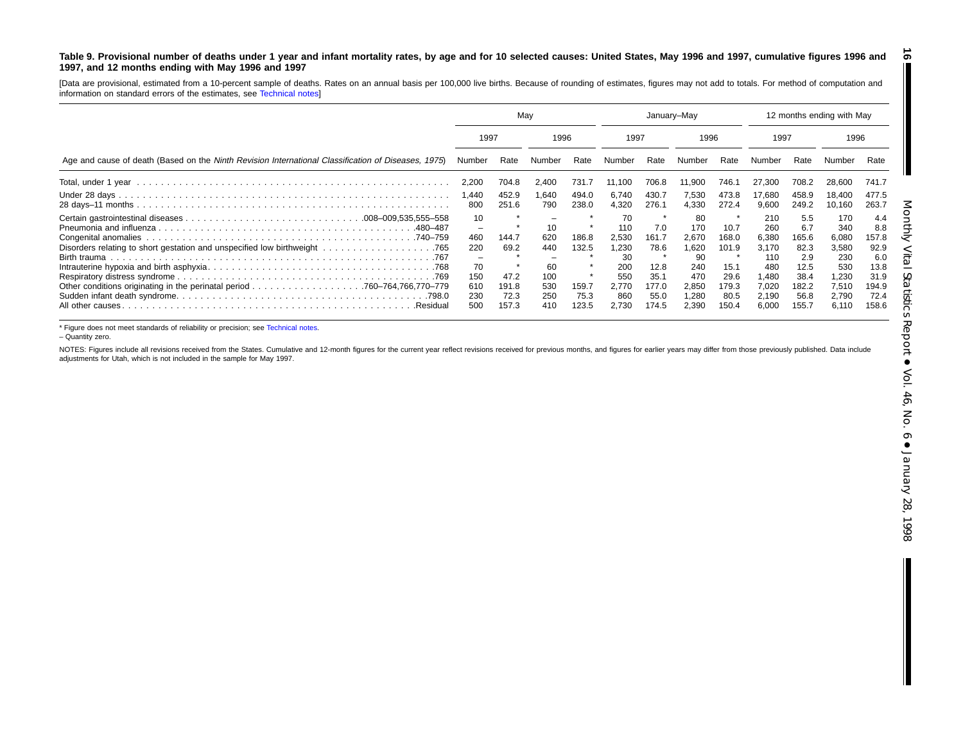#### <span id="page-15-0"></span>Table 9. Provisional number of deaths under 1 year and infant mortality rates, by age and for 10 selected causes: United States, May 1996 and 1997, cumulative figures 1996 and **1997, and 12 months ending with May 1996 and 1997**

[Data are provisional, estimated from <sup>a</sup> 10-percent sample of deaths. Rates on an annual basis per 100,000 live births. Because of rounding of estimates, figures may not add to totals. For method of computation and information on standard errors of the estimates, see [Technical](#page-16-0) notes]

|                                                                                                     | Mav                                                     |                                                 |                                                    |                                          | January-May                                                              |                                                                |                                                                            |                                                                       | 12 months ending with May                                                      |                                                                              |                                                                                |                                                                              |
|-----------------------------------------------------------------------------------------------------|---------------------------------------------------------|-------------------------------------------------|----------------------------------------------------|------------------------------------------|--------------------------------------------------------------------------|----------------------------------------------------------------|----------------------------------------------------------------------------|-----------------------------------------------------------------------|--------------------------------------------------------------------------------|------------------------------------------------------------------------------|--------------------------------------------------------------------------------|------------------------------------------------------------------------------|
|                                                                                                     | 1997                                                    |                                                 | 1996                                               |                                          | 1997                                                                     |                                                                | 1996                                                                       |                                                                       | 1997                                                                           |                                                                              | 1996                                                                           |                                                                              |
| Age and cause of death (Based on the Ninth Revision International Classification of Diseases, 1975) | Number                                                  | Rate                                            | Number                                             | Rate                                     | Number                                                                   | Rate                                                           | Number                                                                     | Rate                                                                  | Number                                                                         | Rate                                                                         |                                                                                | Rate                                                                         |
|                                                                                                     | 2,200                                                   | 704.8                                           | 2,400                                              | 731.7                                    | 11,100                                                                   | 706.8                                                          | 11,900                                                                     | 746.1                                                                 | 27,300                                                                         | 708.2                                                                        | 28,600                                                                         | 741.7                                                                        |
|                                                                                                     | 1.440<br>800                                            | 452.9<br>251.6                                  | 1.640<br>790                                       | 494.0<br>238.0                           | 6,740<br>4,320                                                           | 430.7<br>276.1                                                 | 7.530<br>4,330                                                             | 473.8<br>272.4                                                        | 17,680<br>9,600                                                                | 458.9<br>249.2                                                               | 18.400<br>10,160                                                               | 477.5<br>263.7                                                               |
| .480–487<br>.740–759<br>All other causes<br>.Residua                                                | 10<br>-<br>460<br>220<br>70<br>150<br>610<br>230<br>500 | 144.7<br>69.2<br>47.2<br>191.8<br>72.3<br>157.3 | 10<br>620<br>440<br>60<br>100<br>530<br>250<br>410 | 186.8<br>132.5<br>159.7<br>75.3<br>123.5 | 70<br>110<br>2,530<br>1,230<br>30<br>200<br>550<br>2.770<br>860<br>2,730 | 7.0<br>161.7<br>78.6<br>12.8<br>35.1<br>177.0<br>55.0<br>174.5 | 80<br>170<br>2.670<br>1,620<br>90<br>240<br>470<br>2,850<br>1,280<br>2.390 | *<br>10.7<br>168.0<br>101.9<br>15.1<br>29.6<br>179.3<br>80.5<br>150.4 | 210<br>260<br>6.380<br>3,170<br>110<br>480<br>1,480<br>7,020<br>2,190<br>6.000 | 5.5<br>6.7<br>165.6<br>82.3<br>2.9<br>12.5<br>38.4<br>182.2<br>56.8<br>155.7 | 170<br>340<br>6,080<br>3,580<br>230<br>530<br>1,230<br>7,510<br>2,790<br>6,110 | 4.4<br>8.8<br>157.8<br>92.9<br>6.0<br>13.8<br>31.9<br>194.9<br>72.4<br>158.6 |

\* Figure does not meet standards of reliability or precision; see Technical notes.

– Quantity zero.

NOTES: Figures include all revisions received from the States. [Cumulative](#page-16-0) and 12-month figures for the current year reflect revisions received for previous months, and figures for earlier years may differ from those previo adjustments for Utah, which is not included in the sample for May 1997.

**16**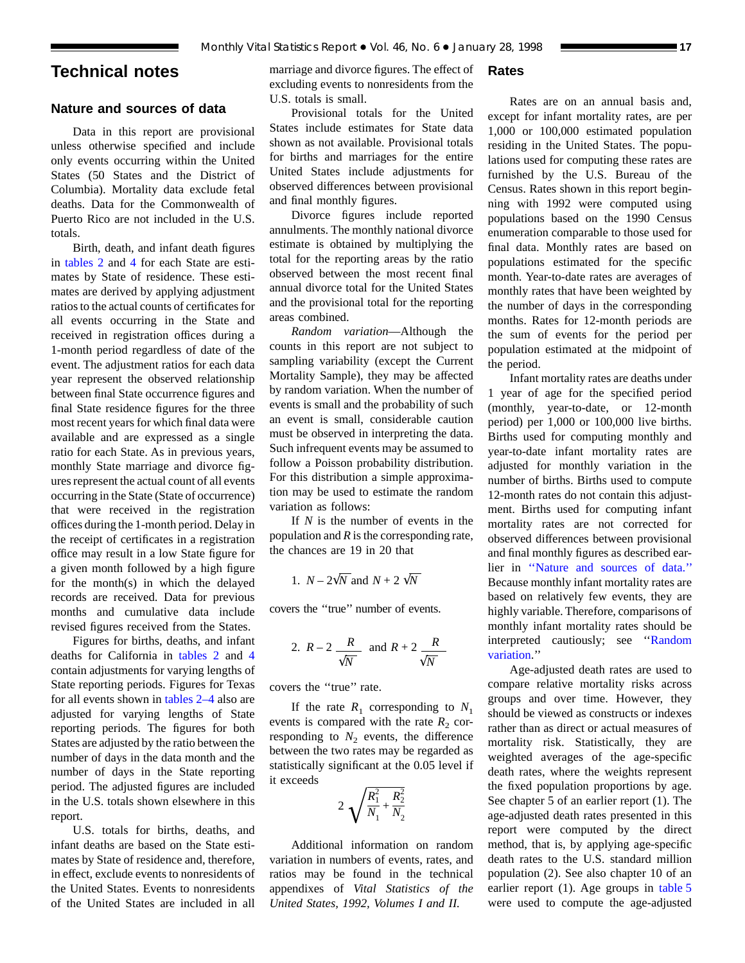## <span id="page-16-0"></span>**Technical notes**

## **Nature and sources of data**

Data in this report are provisional unless otherwise specified and include only events occurring within the United States (50 States and the District of Columbia). Mortality data exclude fetal deaths. Data for the Commonwealth of Puerto Rico are not included in the U.S. totals.

Birth, death, and infant death figures in tables 2 and 4 for each State are esti[mates by Sta](#page-6-0)[te of res](#page-8-0)idence. These estimates are derived by applying adjustment ratios to the actual counts of certificates for all events occurring in the State and received in registration offices during a 1-month period regardless of date of the event. The adjustment ratios for each data year represent the observed relationship between final State occurrence figures and final State residence figures for the three most recent years for which final data were available and are expressed as a single ratio for each State. As in previous years, monthly State marriage and divorce figures represent the actual count of all events occurring in the State (State of occurrence) that were received in the registration offices during the 1-month period. Delay in the receipt of certificates in a registration office may result in a low State figure for a given month followed by a high figure for the month(s) in which the delayed records are received. Data for previous months and cumulative data include revised figures received from the States.

Figures for births, [deaths, and in](#page-6-0)fant deaths for California in tables 2 and 4 contain adjustments for varying lengt[hs of](#page-8-0) State reporting per[iods. Figures for Te](#page-6-0)xas for all events shown in tables 2–4 also are adjusted for varying lengths of State reporting periods. The figures for both States are adjusted by the ratio between the number of days in the data month and the number of days in the State reporting period. The adjusted figures are included in the U.S. totals shown elsewhere in this report.

U.S. totals for births, deaths, and infant deaths are based on the State estimates by State of residence and, therefore, in effect, exclude events to nonresidents of the United States. Events to nonresidents of the United States are included in all

marriage and divorce figures. The effect of excluding events to nonresidents from the U.S. totals is small.

Provisional totals for the United States include estimates for State data shown as not available. Provisional totals for births and marriages for the entire United States include adjustments for observed differences between provisional and final monthly figures.

Divorce figures include reported annulments. The monthly national divorce estimate is obtained by multiplying the total for the reporting areas by the ratio observed between the most recent final annual divorce total for the United States and the provisional total for the reporting areas combined.

*Random variation*—Although the counts in this report are not subject to sampling variability (except the Current Mortality Sample), they may be affected by random variation. When the number of events is small and the probability of such an event is small, considerable caution must be observed in interpreting the data. Such infrequent events may be assumed to follow a Poisson probability distribution. For this distribution a simple approximation may be used to estimate the random variation as follows:

If *N* is the number of events in the population and *R* is the corresponding rate, the chances are 19 in 20 that

1. 
$$
N - 2\sqrt{N}
$$
 and  $N + 2\sqrt{N}$ 

covers the ''true'' number of events.

2. 
$$
R-2
$$
  $\frac{R}{\sqrt{N}}$  and  $R+2$   $\frac{R}{\sqrt{N}}$ 

covers the ''true'' rate.

If the rate  $R_1$  corresponding to  $N_1$ events is compared with the rate  $R_2$  corresponding to  $N_2$  events, the difference between the two rates may be regarded as statistically significant at the 0.05 level if it exceeds

$$
2\sqrt{\frac{R_1^2}{N_1} + \frac{R_2^2}{N_2}}
$$

Additional information on random variation in numbers of events, rates, and ratios may be found in the technical appendixes of *Vital Statistics of the United States, 1992, Volumes I and II.*

## **Rates**

Rates are on an annual basis and, except for infant mortality rates, are per 1,000 or 100,000 estimated population residing in the United States. The populations used for computing these rates are furnished by the U.S. Bureau of the Census. Rates shown in this report beginning with 1992 were computed using populations based on the 1990 Census enumeration comparable to those used for final data. Monthly rates are based on populations estimated for the specific month. Year-to-date rates are averages of monthly rates that have been weighted by the number of days in the corresponding months. Rates for 12-month periods are the sum of events for the period per population estimated at the midpoint of the period.

Infant mortality rates are deaths under 1 year of age for the specified period (monthly, year-to-date, or 12-month period) per 1,000 or 100,000 live births. Births used for computing monthly and year-to-date infant mortality rates are adjusted for monthly variation in the number of births. Births used to compute 12-month rates do not contain this adjustment. Births used for computing infant mortality rates are not corrected for observed differences between provisional and final monthly figures as described earlier in ''Nature and sources of data.'' Because monthly infant mortality rates are based on relatively few events, they are highly variable. Therefore, comparisons of monthly infant mortality rates should be interpreted cautiously; see ''Random variation.''

Age-adjusted death rates are used to compare relative mortality risks across groups and over time. However, they should be viewed as constructs or indexes rather than as direct or actual measures of mortality risk. Statistically, they are weighted averages of the age-specific death rates, where the weights represent the fixed population proportions by age. See chapter 5 of an earlier report (1). The age-adjusted death rates presented in this report were computed by the direct method, that is, by applying age-specific death rates to the U.S. standard million population (2). See also chapter [10 of an](#page-9-0) earlier report (1). Age groups in table 5 were used to compute the age-adjusted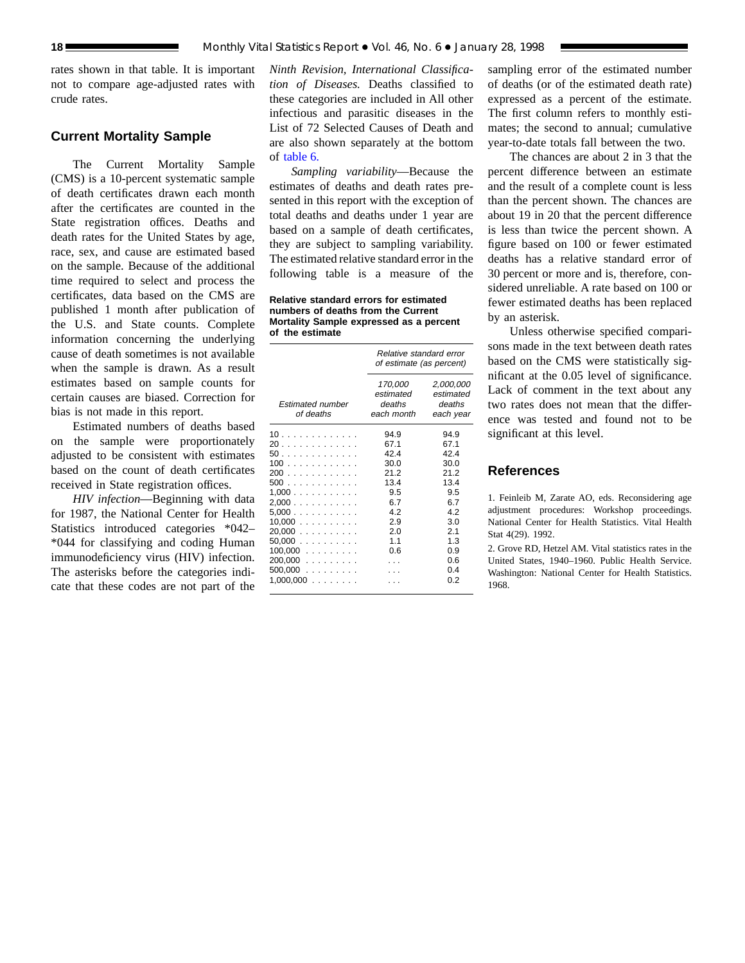rates shown in that table. It is important not to compare age-adjusted rates with crude rates.

## **Current Mortality Sample**

The Current Mortality Sample (CMS) is a 10-percent systematic sample of death certificates drawn each month after the certificates are counted in the State registration offices. Deaths and death rates for the United States by age, race, sex, and cause are estimated based on the sample. Because of the additional time required to select and process the certificates, data based on the CMS are published 1 month after publication of the U.S. and State counts. Complete information concerning the underlying cause of death sometimes is not available when the sample is drawn. As a result estimates based on sample counts for certain causes are biased. Correction for bias is not made in this report.

Estimated numbers of deaths based on the sample were proportionately adjusted to be consistent with estimates based on the count of death certificates received in State registration offices.

*HIV infection*—Beginning with data for 1987, the National Center for Health Statistics introduced categories \*042– \*044 for classifying and coding Human immunodeficiency virus (HIV) infection. The asterisks before the categories indicate that these codes are not part of the

*Ninth Revision, International Classification of Diseases.* Deaths classified to these categories are included in All other infectious and parasitic diseases in the List of 72 Selected Causes of Death and [are also shown](#page-12-0) separately at the bottom of table 6.

*Sampling variability*—Because the estimates of deaths and death rates presented in this report with the exception of total deaths and deaths under 1 year are based on a sample of death certificates, they are subject to sampling variability. The estimated relative standard error in the following table is a measure of the

**Relative standard errors for estimated numbers of deaths from the Current Mortality Sample expressed as a percent of the estimate**

|                                                                                                                        | Relative standard error<br>of estimate (as percent)                                           |                                                                                                      |  |  |  |
|------------------------------------------------------------------------------------------------------------------------|-----------------------------------------------------------------------------------------------|------------------------------------------------------------------------------------------------------|--|--|--|
| <b>Estimated number</b><br>of deaths                                                                                   | 170,000<br>estimated<br>deaths<br>each month                                                  | 2,000,000<br>estimated<br>deaths<br>each year                                                        |  |  |  |
| 10<br>20<br>50<br>100<br>200<br>500<br>1,000<br>2,000<br>5,000<br>10,000<br>20.000<br>50,000<br>$100,000$<br>$200,000$ | 94.9<br>67.1<br>42.4<br>30.0<br>21.2<br>13.4<br>9.5<br>6.7<br>4.2<br>2.9<br>2.0<br>1.1<br>0.6 | 94.9<br>67.1<br>42.4<br>30.0<br>21.2<br>13.4<br>9.5<br>6.7<br>4.2<br>3.0<br>2.1<br>1.3<br>0.9<br>0.6 |  |  |  |
| 500,000<br>$1,000,000$                                                                                                 |                                                                                               | 0.4<br>0.2                                                                                           |  |  |  |

sampling error of the estimated number of deaths (or of the estimated death rate) expressed as a percent of the estimate. The first column refers to monthly estimates; the second to annual; cumulative year-to-date totals fall between the two.

The chances are about 2 in 3 that the percent difference between an estimate and the result of a complete count is less than the percent shown. The chances are about 19 in 20 that the percent difference is less than twice the percent shown. A figure based on 100 or fewer estimated deaths has a relative standard error of 30 percent or more and is, therefore, considered unreliable. A rate based on 100 or fewer estimated deaths has been replaced by an asterisk.

Unless otherwise specified comparisons made in the text between death rates based on the CMS were statistically significant at the 0.05 level of significance. Lack of comment in the text about any two rates does not mean that the difference was tested and found not to be significant at this level.

## **References**

1. Feinleib M, Zarate AO, eds. Reconsidering age adjustment procedures: Workshop proceedings. National Center for Health Statistics. Vital Health Stat 4(29). 1992.

2. Grove RD, Hetzel AM. Vital statistics rates in the United States, 1940–1960. Public Health Service. Washington: National Center for Health Statistics. 1968.